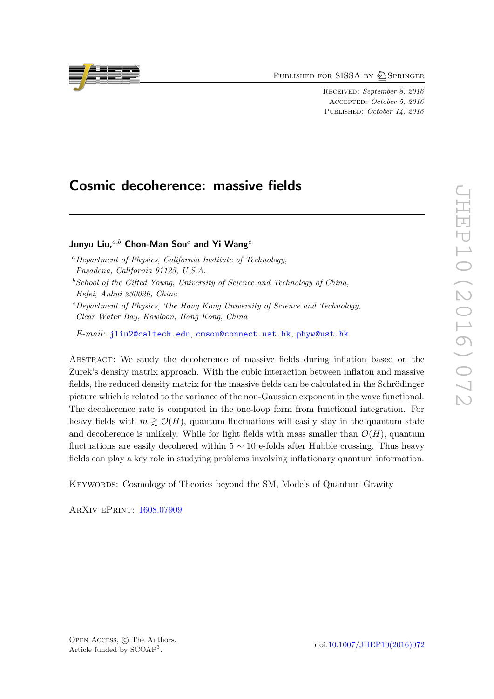PUBLISHED FOR SISSA BY 2 SPRINGER

Received: September 8, 2016 Accepted: October 5, 2016 PUBLISHED: October 14, 2016

# Cosmic decoherence: massive fields

## Junyu Liu. $a,b$  Chon-Man Sou<sup>c</sup> and Yi Wang<sup>c</sup>

- <sup>a</sup>Department of Physics, California Institute of Technology, Pasadena, California 91125, U.S.A.
- $b$  School of the Gifted Young, University of Science and Technology of China, Hefei, Anhui 230026, China
- $c$ Department of Physics, The Hong Kong University of Science and Technology, Clear Water Bay, Kowloon, Hong Kong, China

E-mail: [jliu2@caltech.edu](mailto:jliu2@caltech.edu), [cmsou@connect.ust.hk](mailto:cmsou@connect.ust.hk), [phyw@ust.hk](mailto:phyw@ust.hk)

Abstract: We study the decoherence of massive fields during inflation based on the Zurek's density matrix approach. With the cubic interaction between inflaton and massive fields, the reduced density matrix for the massive fields can be calculated in the Schrödinger picture which is related to the variance of the non-Gaussian exponent in the wave functional. The decoherence rate is computed in the one-loop form from functional integration. For heavy fields with  $m \geq \mathcal{O}(H)$ , quantum fluctuations will easily stay in the quantum state and decoherence is unlikely. While for light fields with mass smaller than  $\mathcal{O}(H)$ , quantum fluctuations are easily decohered within  $5 \sim 10$  e-folds after Hubble crossing. Thus heavy fields can play a key role in studying problems involving inflationary quantum information.

Keywords: Cosmology of Theories beyond the SM, Models of Quantum Gravity

ArXiv ePrint: [1608.07909](https://arxiv.org/abs/1608.07909)

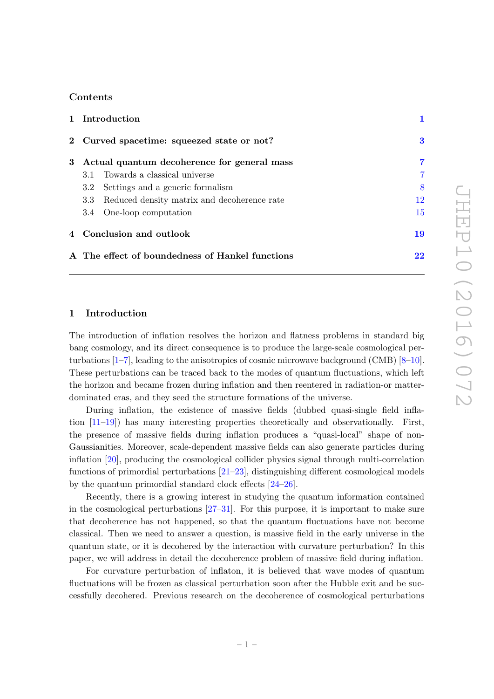## Contents

| 1 Introduction                                     |    |
|----------------------------------------------------|----|
| 2 Curved spacetime: squeezed state or not?         | 3  |
| 3 Actual quantum decoherence for general mass      | 7  |
| 3.1 Towards a classical universe                   |    |
| Settings and a generic formalism<br>3.2            | 8  |
| Reduced density matrix and decoherence rate<br>3.3 | 12 |
| 3.4 One-loop computation                           | 15 |
| 4 Conclusion and outlook                           | 19 |
| A The effect of boundedness of Hankel functions    | 22 |

## <span id="page-1-0"></span>1 Introduction

The introduction of inflation resolves the horizon and flatness problems in standard big bang cosmology, and its direct consequence is to produce the large-scale cosmological perturbations [\[1–](#page-23-0)[7\]](#page-23-1), leading to the anisotropies of cosmic microwave background (CMB) [\[8–](#page-23-2)[10\]](#page-23-3). These perturbations can be traced back to the modes of quantum fluctuations, which left the horizon and became frozen during inflation and then reentered in radiation-or matterdominated eras, and they seed the structure formations of the universe.

During inflation, the existence of massive fields (dubbed quasi-single field inflation [\[11–](#page-24-0)[19\]](#page-24-1)) has many interesting properties theoretically and observationally. First, the presence of massive fields during inflation produces a "quasi-local" shape of non-Gaussianities. Moreover, scale-dependent massive fields can also generate particles during inflation [\[20\]](#page-24-2), producing the cosmological collider physics signal through multi-correlation functions of primordial perturbations [\[21–](#page-24-3)[23\]](#page-24-4), distinguishing different cosmological models by the quantum primordial standard clock effects [\[24](#page-24-5)[–26\]](#page-24-6).

Recently, there is a growing interest in studying the quantum information contained in the cosmological perturbations [\[27](#page-24-7)[–31\]](#page-25-0). For this purpose, it is important to make sure that decoherence has not happened, so that the quantum fluctuations have not become classical. Then we need to answer a question, is massive field in the early universe in the quantum state, or it is decohered by the interaction with curvature perturbation? In this paper, we will address in detail the decoherence problem of massive field during inflation.

For curvature perturbation of inflaton, it is believed that wave modes of quantum fluctuations will be frozen as classical perturbation soon after the Hubble exit and be successfully decohered. Previous research on the decoherence of cosmological perturbations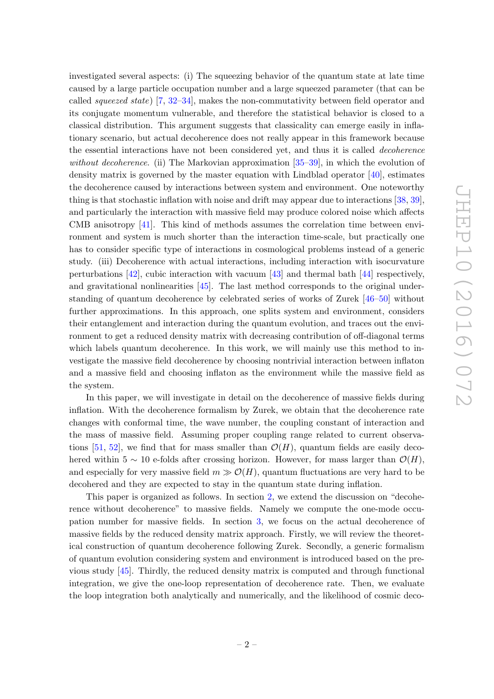investigated several aspects: (i) The squeezing behavior of the quantum state at late time caused by a large particle occupation number and a large squeezed parameter (that can be called squeezed state) [\[7,](#page-23-1) [32–](#page-25-1)[34\]](#page-25-2), makes the non-commutativity between field operator and its conjugate momentum vulnerable, and therefore the statistical behavior is closed to a classical distribution. This argument suggests that classicality can emerge easily in inflationary scenario, but actual decoherence does not really appear in this framework because the essential interactions have not been considered yet, and thus it is called decoherence without decoherence. (ii) The Markovian approximation  $[35-39]$ , in which the evolution of density matrix is governed by the master equation with Lindblad operator  $[40]$ , estimates the decoherence caused by interactions between system and environment. One noteworthy thing is that stochastic inflation with noise and drift may appear due to interactions [\[38,](#page-25-6) [39\]](#page-25-4), and particularly the interaction with massive field may produce colored noise which affects CMB anisotropy [\[41\]](#page-25-7). This kind of methods assumes the correlation time between environment and system is much shorter than the interaction time-scale, but practically one has to consider specific type of interactions in cosmological problems instead of a generic study. (iii) Decoherence with actual interactions, including interaction with isocurvature perturbations  $[42]$ , cubic interaction with vacuum  $[43]$  and thermal bath  $[44]$  respectively, and gravitational nonlinearities [\[45\]](#page-25-11). The last method corresponds to the original understanding of quantum decoherence by celebrated series of works of Zurek [\[46](#page-25-12)[–50\]](#page-26-0) without further approximations. In this approach, one splits system and environment, considers their entanglement and interaction during the quantum evolution, and traces out the environment to get a reduced density matrix with decreasing contribution of off-diagonal terms which labels quantum decoherence. In this work, we will mainly use this method to investigate the massive field decoherence by choosing nontrivial interaction between inflaton and a massive field and choosing inflaton as the environment while the massive field as the system.

In this paper, we will investigate in detail on the decoherence of massive fields during inflation. With the decoherence formalism by Zurek, we obtain that the decoherence rate changes with conformal time, the wave number, the coupling constant of interaction and the mass of massive field. Assuming proper coupling range related to current observa-tions [\[51,](#page-26-1) [52\]](#page-26-2), we find that for mass smaller than  $\mathcal{O}(H)$ , quantum fields are easily decohered within 5 ∼ 10 e-folds after crossing horizon. However, for mass larger than  $\mathcal{O}(H)$ , and especially for very massive field  $m \gg \mathcal{O}(H)$ , quantum fluctuations are very hard to be decohered and they are expected to stay in the quantum state during inflation.

This paper is organized as follows. In section [2,](#page-3-0) we extend the discussion on "decoherence without decoherence" to massive fields. Namely we compute the one-mode occupation number for massive fields. In section [3,](#page-7-0) we focus on the actual decoherence of massive fields by the reduced density matrix approach. Firstly, we will review the theoretical construction of quantum decoherence following Zurek. Secondly, a generic formalism of quantum evolution considering system and environment is introduced based on the previous study [\[45\]](#page-25-11). Thirdly, the reduced density matrix is computed and through functional integration, we give the one-loop representation of decoherence rate. Then, we evaluate the loop integration both analytically and numerically, and the likelihood of cosmic deco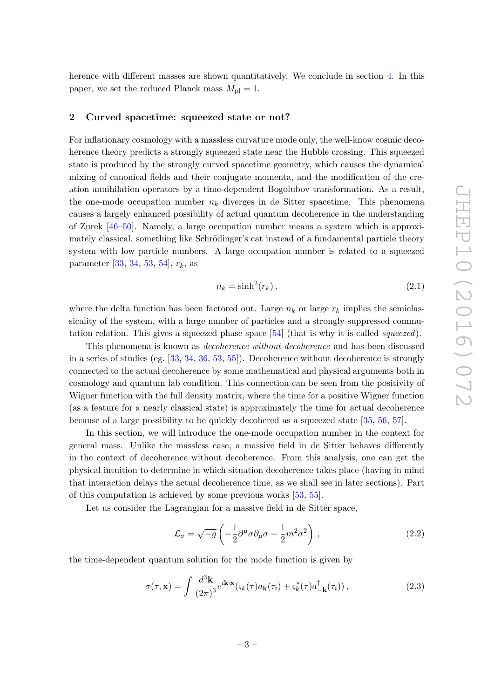herence with different masses are shown quantitatively. We conclude in section [4.](#page-19-0) In this paper, we set the reduced Planck mass  $M_{\rm pl} = 1$ .

#### <span id="page-3-0"></span>2 Curved spacetime: squeezed state or not?

For inflationary cosmology with a massless curvature mode only, the well-know cosmic decoherence theory predicts a strongly squeezed state near the Hubble crossing. This squeezed state is produced by the strongly curved spacetime geometry, which causes the dynamical mixing of canonical fields and their conjugate momenta, and the modification of the creation annihilation operators by a time-dependent Bogolubov transformation. As a result, the one-mode occupation number  $n_k$  diverges in de Sitter spacetime. This phenomena causes a largely enhanced possibility of actual quantum decoherence in the understanding of Zurek [\[46](#page-25-12)[–50\]](#page-26-0). Namely, a large occupation number means a system which is approximately classical, something like Schrödinger's cat instead of a fundamental particle theory system with low particle numbers. A large occupation number is related to a squeezed parameter [\[33,](#page-25-13) [34,](#page-25-2) [53,](#page-26-3) [54\]](#page-26-4),  $r_k$ , as

$$
n_k = \sinh^2(r_k),\tag{2.1}
$$

where the delta function has been factored out. Large  $n_k$  or large  $r_k$  implies the semiclassicality of the system, with a large number of particles and a strongly suppressed commutation relation. This gives a squeezed phase space  $[54]$  (that is why it is called *squeezed*).

This phenomena is known as decoherence without decoherence and has been discussed in a series of studies (eg. [\[33,](#page-25-13) [34,](#page-25-2) [36,](#page-25-14) [53,](#page-26-3) [55\]](#page-26-5)). Decoherence without decoherence is strongly connected to the actual decoherence by some mathematical and physical arguments both in cosmology and quantum lab condition. This connection can be seen from the positivity of Wigner function with the full density matrix, where the time for a positive Wigner function (as a feature for a nearly classical state) is approximately the time for actual decoherence because of a large possibility to be quickly decohered as a squeezed state [\[35,](#page-25-3) [56,](#page-26-6) [57\]](#page-26-7).

In this section, we will introduce the one-mode occupation number in the context for general mass. Unlike the massless case, a massive field in de Sitter behaves differently in the context of decoherence without decoherence. From this analysis, one can get the physical intuition to determine in which situation decoherence takes place (having in mind that interaction delays the actual decoherence time, as we shall see in later sections). Part of this computation is achieved by some previous works [\[53,](#page-26-3) [55\]](#page-26-5).

Let us consider the Lagrangian for a massive field in de Sitter space,

$$
\mathcal{L}_{\sigma} = \sqrt{-g} \left( -\frac{1}{2} \partial^{\mu} \sigma \partial_{\mu} \sigma - \frac{1}{2} m^{2} \sigma^{2} \right) , \qquad (2.2)
$$

the time-dependent quantum solution for the mode function is given by

$$
\sigma(\tau, \mathbf{x}) = \int \frac{d^3 \mathbf{k}}{(2\pi)^3} e^{i\mathbf{k} \cdot \mathbf{x}} (\varsigma_k(\tau) a_{\mathbf{k}}(\tau_i) + \varsigma_k^*(\tau) a_{-\mathbf{k}}^\dagger(\tau_i)), \qquad (2.3)
$$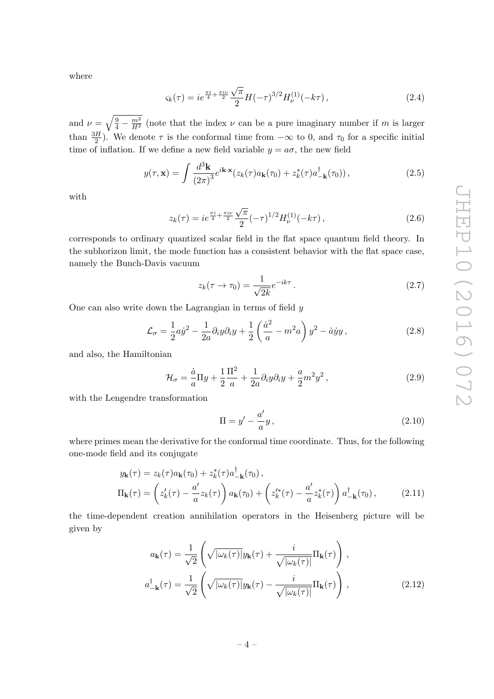where

$$
\varsigma_k(\tau) = ie^{\frac{\pi i}{4} + \frac{\pi i \nu}{2}} \frac{\sqrt{\pi}}{2} H(-\tau)^{3/2} H_{\nu}^{(1)}(-k\tau), \qquad (2.4)
$$

and  $\nu = \sqrt{\frac{9}{4} - \frac{m^2}{H^2}}$  (note that the index  $\nu$  can be a pure imaginary number if m is larger than  $\frac{3H}{2}$ ). We denote  $\tau$  is the conformal time from  $-\infty$  to 0, and  $\tau_0$  for a specific initial time of inflation. If we define a new field variable  $y = a\sigma$ , the new field

$$
y(\tau, \mathbf{x}) = \int \frac{d^3 \mathbf{k}}{(2\pi)^3} e^{i\mathbf{k} \cdot \mathbf{x}} (z_k(\tau) a_{\mathbf{k}}(\tau_0) + z_k^*(\tau) a_{-\mathbf{k}}^\dagger(\tau_0)), \qquad (2.5)
$$

with

$$
z_k(\tau) = ie^{\frac{\pi i}{4} + \frac{\pi i \nu}{2}} \frac{\sqrt{\pi}}{2} (-\tau)^{1/2} H_{\nu}^{(1)}(-k\tau), \qquad (2.6)
$$

corresponds to ordinary quantized scalar field in the flat space quantum field theory. In the subhorizon limit, the mode function has a consistent behavior with the flat space case, namely the Bunch-Davis vacuum

$$
z_k(\tau \to \tau_0) = \frac{1}{\sqrt{2k}} e^{-ik\tau} . \tag{2.7}
$$

One can also write down the Lagrangian in terms of field  $y$ 

$$
\mathcal{L}_{\sigma} = \frac{1}{2} a \dot{y}^2 - \frac{1}{2a} \partial_i y \partial_i y + \frac{1}{2} \left( \frac{\dot{a}^2}{a} - m^2 a \right) y^2 - \dot{a} \dot{y} y, \qquad (2.8)
$$

and also, the Hamiltonian

$$
\mathcal{H}_{\sigma} = \frac{\dot{a}}{a} \Pi y + \frac{1}{2} \frac{\Pi^2}{a} + \frac{1}{2a} \partial_i y \partial_i y + \frac{a}{2} m^2 y^2, \qquad (2.9)
$$

with the Lengendre transformation

<span id="page-4-0"></span>
$$
\Pi = y' - \frac{a'}{a}y,\tag{2.10}
$$

where primes mean the derivative for the conformal time coordinate. Thus, for the following one-mode field and its conjugate

$$
y_{\mathbf{k}}(\tau) = z_k(\tau) a_{\mathbf{k}}(\tau_0) + z_k^*(\tau) a_{-\mathbf{k}}^\dagger(\tau_0),
$$
  
\n
$$
\Pi_{\mathbf{k}}(\tau) = \left(z'_k(\tau) - \frac{a'}{a} z_k(\tau)\right) a_{\mathbf{k}}(\tau_0) + \left(z'^*_k(\tau) - \frac{a'}{a} z_k^*(\tau)\right) a_{-\mathbf{k}}^\dagger(\tau_0),
$$
\n(2.11)

the time-dependent creation annihilation operators in the Heisenberg picture will be given by

$$
a_{\mathbf{k}}(\tau) = \frac{1}{\sqrt{2}} \left( \sqrt{|\omega_k(\tau)|} y_{\mathbf{k}}(\tau) + \frac{i}{\sqrt{|\omega_k(\tau)|}} \Pi_{\mathbf{k}}(\tau) \right),
$$
  

$$
a_{-\mathbf{k}}^{\dagger}(\tau) = \frac{1}{\sqrt{2}} \left( \sqrt{|\omega_k(\tau)|} y_{\mathbf{k}}(\tau) - \frac{i}{\sqrt{|\omega_k(\tau)|}} \Pi_{\mathbf{k}}(\tau) \right),
$$
 (2.12)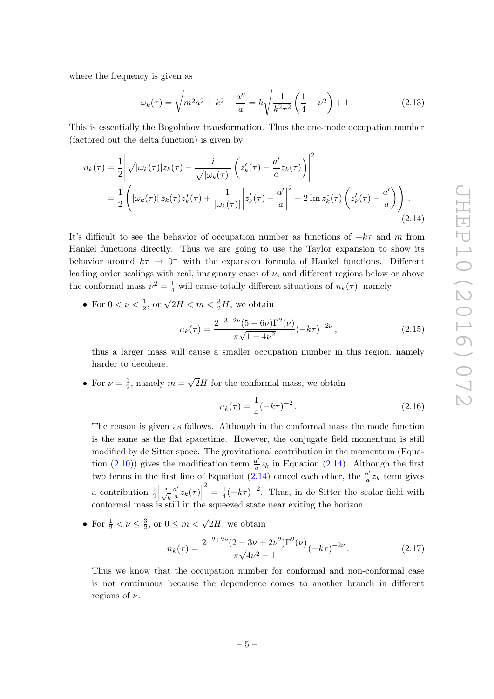where the frequency is given as

$$
\omega_k(\tau) = \sqrt{m^2 a^2 + k^2 - \frac{a''}{a}} = k \sqrt{\frac{1}{k^2 \tau^2} \left(\frac{1}{4} - \nu^2\right) + 1}.
$$
 (2.13)

This is essentially the Bogolubov transformation. Thus the one-mode occupation number (factored out the delta function) is given by

$$
n_k(\tau) = \frac{1}{2} \left| \sqrt{|\omega_k(\tau)|} z_k(\tau) - \frac{i}{\sqrt{|\omega_k(\tau)|}} \left( z'_k(\tau) - \frac{a'}{a} z_k(\tau) \right) \right|^2
$$
  

$$
= \frac{1}{2} \left( |\omega_k(\tau)| z_k(\tau) z_k^*(\tau) + \frac{1}{|\omega_k(\tau)|} |z'_k(\tau) - \frac{a'}{a} |^2 + 2 \operatorname{Im} z_k^*(\tau) \left( z'_k(\tau) - \frac{a'}{a} \right) \right).
$$
\n(2.14)

It's difficult to see the behavior of occupation number as functions of  $-k\tau$  and m from Hankel functions directly. Thus we are going to use the Taylor expansion to show its behavior around  $k\tau \to 0^-$  with the expansion formula of Hankel functions. Different leading order scalings with real, imaginary cases of  $\nu$ , and different regions below or above the conformal mass  $\nu^2 = \frac{1}{4}$  will cause totally different situations of  $n_k(\tau)$ , namely

• For  $0 < \nu < \frac{1}{2}$ , or  $\sqrt{2}H < m < \frac{3}{2}H$ , we obtain

<span id="page-5-0"></span>
$$
n_k(\tau) = \frac{2^{-3+2\nu}(5-6\nu)\Gamma^2(\nu)}{\pi\sqrt{1-4\nu^2}}(-k\tau)^{-2\nu},
$$
\n(2.15)

thus a larger mass will cause a smaller occupation number in this region, namely harder to decohere.

• For  $\nu = \frac{1}{2}$  $\frac{1}{2}$ , namely  $m =$ √ 2H for the conformal mass, we obtain

$$
n_k(\tau) = \frac{1}{4}(-k\tau)^{-2}.
$$
 (2.16)

The reason is given as follows. Although in the conformal mass the mode function is the same as the flat spacetime. However, the conjugate field momentum is still modified by de Sitter space. The gravitational contribution in the momentum (Equa-tion [\(2.10\)](#page-4-0)) gives the modification term  $\frac{a'}{a}$  $\frac{a'}{a}z_k$  in Equation [\(2.14\)](#page-5-0). Although the first two terms in the first line of Equation [\(2.14\)](#page-5-0) cancel each other, the  $\frac{a'}{a}$  $\frac{a'}{a}z_k$  term gives a contribution  $\frac{1}{2} \left| \frac{i}{\sqrt{2}} \right|$ k  $a'$  $rac{a'}{a}z_k(\tau)$  $\frac{2}{4} = \frac{1}{4}$  $\frac{1}{4}(-k\tau)^{-2}$ . Thus, in de Sitter the scalar field with conformal mass is still in the squeezed state near exiting the horizon.

• For  $\frac{1}{2} < \nu \leq \frac{3}{2}$  $\frac{3}{2}$ , or  $0 \le m < \sqrt{2}H$ , we obtain

$$
n_k(\tau) = \frac{2^{-2+2\nu}(2 - 3\nu + 2\nu^2)\Gamma^2(\nu)}{\pi\sqrt{4\nu^2 - 1}} (-k\tau)^{-2\nu}.
$$
 (2.17)

Thus we know that the occupation number for conformal and non-conformal case is not continuous because the dependence comes to another branch in different regions of  $\nu$ .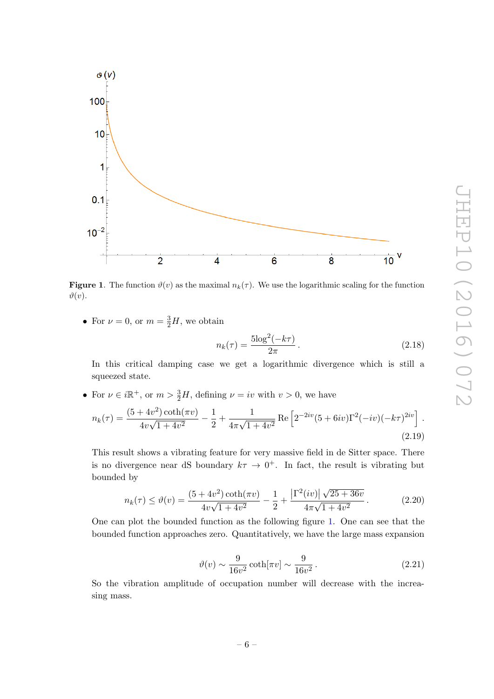

<span id="page-6-0"></span>**Figure 1.** The function  $\vartheta(v)$  as the maximal  $n_k(\tau)$ . We use the logarithmic scaling for the function  $\vartheta(v)$ .

• For  $\nu = 0$ , or  $m = \frac{3}{2}H$ , we obtain

$$
n_k(\tau) = \frac{5\log^2(-k\tau)}{2\pi}.
$$
 (2.18)

In this critical damping case we get a logarithmic divergence which is still a squeezed state.

• For  $\nu \in i\mathbb{R}^+$ , or  $m > \frac{3}{2}H$ , defining  $\nu = iv$  with  $v > 0$ , we have

$$
n_k(\tau) = \frac{(5+4v^2)\coth(\pi v)}{4v\sqrt{1+4v^2}} - \frac{1}{2} + \frac{1}{4\pi\sqrt{1+4v^2}}\operatorname{Re}\left[2^{-2iv}(5+6iv)\Gamma^2(-iv)(-k\tau)^{2iv}\right].
$$
\n(2.19)

This result shows a vibrating feature for very massive field in de Sitter space. There is no divergence near dS boundary  $k\tau \to 0^+$ . In fact, the result is vibrating but bounded by

$$
n_k(\tau) \le \vartheta(v) = \frac{(5+4v^2)\coth(\pi v)}{4v\sqrt{1+4v^2}} - \frac{1}{2} + \frac{\left|\Gamma^2(iv)\right|\sqrt{25+36v}}{4\pi\sqrt{1+4v^2}}.
$$
 (2.20)

One can plot the bounded function as the following figure [1.](#page-6-0) One can see that the bounded function approaches zero. Quantitatively, we have the large mass expansion

$$
\vartheta(v) \sim \frac{9}{16v^2} \coth[\pi v] \sim \frac{9}{16v^2} \,. \tag{2.21}
$$

So the vibration amplitude of occupation number will decrease with the increasing mass.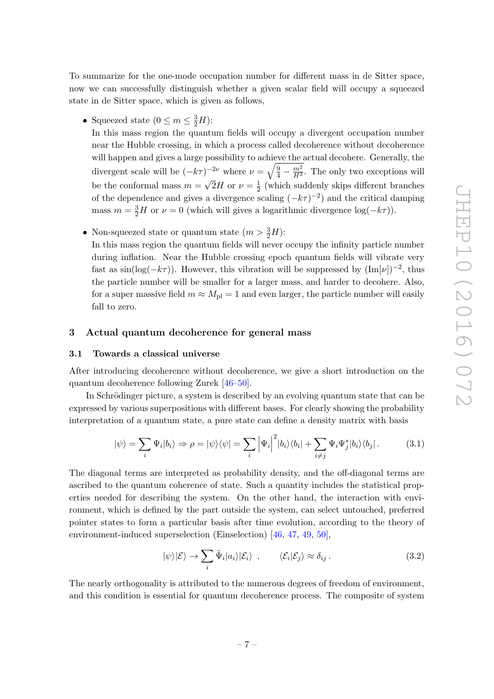To summarize for the one-mode occupation number for different mass in de Sitter space, now we can successfully distinguish whether a given scalar field will occupy a squeezed state in de Sitter space, which is given as follows,

• Squeezed state  $(0 \le m \le \frac{3}{2}H)$ :

In this mass region the quantum fields will occupy a divergent occupation number near the Hubble crossing, in which a process called decoherence without decoherence will happen and gives a large possibility to achieve the actual decohere. Generally, the divergent scale will be  $(-k\tau)^{-2\nu}$  where  $\nu = \sqrt{\frac{9}{4} - \frac{m^2}{H^2}}$ . The only two exceptions will be the conformal mass  $m =$ √  $\overline{2}H$  or  $\nu=\frac{1}{2}$  $\frac{1}{2}$  (which suddenly skips different branches of the dependence and gives a divergence scaling  $(-k\tau)^{-2}$  and the critical damping mass  $m = \frac{3}{2}H$  or  $\nu = 0$  (which will gives a logarithmic divergence  $\log(-k\tau)$ ).

• Non-squeezed state or quantum state  $(m > \frac{3}{2}H)$ :

In this mass region the quantum fields will never occupy the infinity particle number during inflation. Near the Hubble crossing epoch quantum fields will vibrate very fast as  $\sin(\log(-k\tau))$ . However, this vibration will be suppressed by  $(\text{Im}[\nu])^{-2}$ , thus the particle number will be smaller for a larger mass, and harder to decohere. Also, for a super massive field  $m \approx M_{\text{pl}} = 1$  and even larger, the particle number will easily fall to zero.

## <span id="page-7-0"></span>3 Actual quantum decoherence for general mass

#### <span id="page-7-1"></span>3.1 Towards a classical universe

After introducing decoherence without decoherence, we give a short introduction on the quantum decoherence following Zurek [\[46](#page-25-12)[–50\]](#page-26-0).

In Schrödinger picture, a system is described by an evolving quantum state that can be expressed by various superpositions with different bases. For clearly showing the probability interpretation of a quantum state, a pure state can define a density matrix with basis

$$
|\psi\rangle = \sum_{i} \Psi_{i} |b_{i}\rangle \Rightarrow \rho = |\psi\rangle\langle\psi| = \sum_{i} \left| \Psi_{i} \right|^{2} |b_{i}\rangle\langle b_{i}| + \sum_{i \neq j} \Psi_{i} \Psi_{j}^{*} |b_{i}\rangle\langle b_{j}|.
$$
 (3.1)

The diagonal terms are interpreted as probability density, and the off-diagonal terms are ascribed to the quantum coherence of state. Such a quantity includes the statistical properties needed for describing the system. On the other hand, the interaction with environment, which is defined by the part outside the system, can select untouched, preferred pointer states to form a particular basis after time evolution, according to the theory of environment-induced superselection (Einselection) [\[46,](#page-25-12) [47,](#page-25-15) [49,](#page-25-16) [50\]](#page-26-0),

<span id="page-7-3"></span><span id="page-7-2"></span>
$$
|\psi\rangle|\mathcal{E}\rangle \to \sum_{i} \tilde{\Psi}_i|a_i\rangle|\mathcal{E}_i\rangle \ , \qquad \langle \mathcal{E}_i|\mathcal{E}_j\rangle \approx \delta_{ij} \ . \tag{3.2}
$$

The nearly orthogonality is attributed to the numerous degrees of freedom of environment, and this condition is essential for quantum decoherence process. The composite of system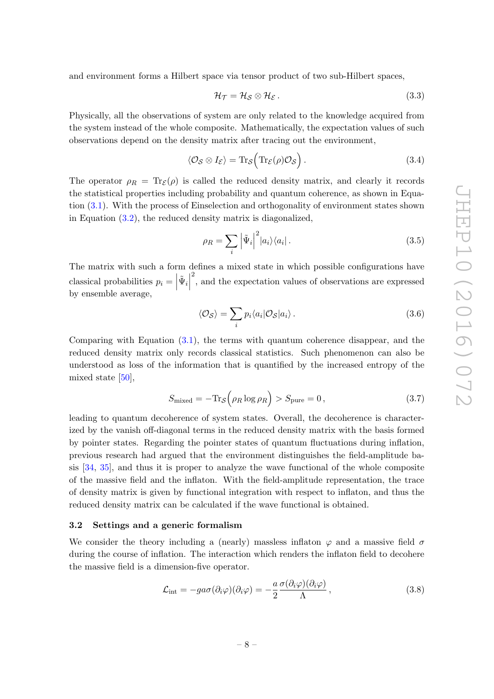and environment forms a Hilbert space via tensor product of two sub-Hilbert spaces,

$$
\mathcal{H}_{\mathcal{T}} = \mathcal{H}_{\mathcal{S}} \otimes \mathcal{H}_{\mathcal{E}}.
$$
\n(3.3)

Physically, all the observations of system are only related to the knowledge acquired from the system instead of the whole composite. Mathematically, the expectation values of such observations depend on the density matrix after tracing out the environment,

$$
\langle \mathcal{O}_{\mathcal{S}} \otimes I_{\mathcal{E}} \rangle = \text{Tr}_{\mathcal{S}} \Big( \text{Tr}_{\mathcal{E}}(\rho) \mathcal{O}_{\mathcal{S}} \Big) . \tag{3.4}
$$

The operator  $\rho_R = \text{Tr}_{\mathcal{E}}(\rho)$  is called the reduced density matrix, and clearly it records the statistical properties including probability and quantum coherence, as shown in Equation [\(3.1\)](#page-7-2). With the process of Einselection and orthogonality of environment states shown in Equation  $(3.2)$ , the reduced density matrix is diagonalized,

$$
\rho_R = \sum_i \left| \tilde{\Psi}_i \right|^2 |a_i\rangle\langle a_i| \,. \tag{3.5}
$$

The matrix with such a form defines a mixed state in which possible configurations have classical probabilities  $p_i =$  $\tilde{\Psi}_i$ 2 , and the expectation values of observations are expressed by ensemble average,

$$
\langle \mathcal{O}_{\mathcal{S}} \rangle = \sum_{i} p_i \langle a_i | \mathcal{O}_{\mathcal{S}} | a_i \rangle. \tag{3.6}
$$

Comparing with Equation [\(3.1\)](#page-7-2), the terms with quantum coherence disappear, and the reduced density matrix only records classical statistics. Such phenomenon can also be understood as loss of the information that is quantified by the increased entropy of the mixed state [\[50\]](#page-26-0),

$$
S_{\text{mixed}} = -\text{Tr}_{\mathcal{S}}\left(\rho_R \log \rho_R\right) > S_{\text{pure}} = 0, \tag{3.7}
$$

leading to quantum decoherence of system states. Overall, the decoherence is characterized by the vanish off-diagonal terms in the reduced density matrix with the basis formed by pointer states. Regarding the pointer states of quantum fluctuations during inflation, previous research had argued that the environment distinguishes the field-amplitude basis [\[34,](#page-25-2) [35\]](#page-25-3), and thus it is proper to analyze the wave functional of the whole composite of the massive field and the inflaton. With the field-amplitude representation, the trace of density matrix is given by functional integration with respect to inflaton, and thus the reduced density matrix can be calculated if the wave functional is obtained.

#### <span id="page-8-0"></span>3.2 Settings and a generic formalism

We consider the theory including a (nearly) massless inflaton  $\varphi$  and a massive field  $\sigma$ during the course of inflation. The interaction which renders the inflaton field to decohere the massive field is a dimension-five operator.

$$
\mathcal{L}_{\text{int}} = -g a \sigma (\partial_i \varphi)(\partial_i \varphi) = -\frac{a}{2} \frac{\sigma (\partial_i \varphi)(\partial_i \varphi)}{\Lambda}, \qquad (3.8)
$$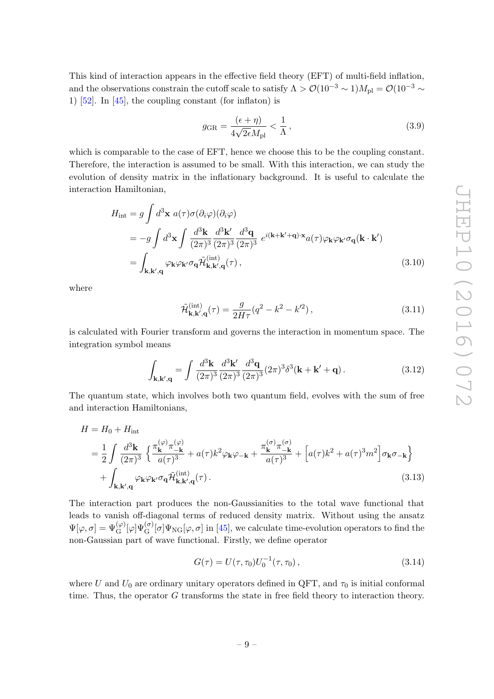This kind of interaction appears in the effective field theory (EFT) of multi-field inflation, and the observations constrain the cutoff scale to satisfy  $\Lambda > \mathcal{O}(10^{-3} \sim 1)M_{\rm pl} = \mathcal{O}(10^{-3} \sim 1)$ 1)  $[52]$ . In  $[45]$ , the coupling constant (for inflaton) is

$$
g_{\rm GR} = \frac{(\epsilon + \eta)}{4\sqrt{2\epsilon}M_{\rm pl}} < \frac{1}{\Lambda},\tag{3.9}
$$

which is comparable to the case of EFT, hence we choose this to be the coupling constant. Therefore, the interaction is assumed to be small. With this interaction, we can study the evolution of density matrix in the inflationary background. It is useful to calculate the interaction Hamiltonian,

$$
H_{int} = g \int d^3 \mathbf{x} \ a(\tau) \sigma(\partial_i \varphi)(\partial_i \varphi)
$$
  
= 
$$
-g \int d^3 \mathbf{x} \int \frac{d^3 \mathbf{k}}{(2\pi)^3} \frac{d^3 \mathbf{k}'}{(2\pi)^3} \frac{d^3 \mathbf{q}}{(2\pi)^3} e^{i(\mathbf{k} + \mathbf{k}' + \mathbf{q}) \cdot \mathbf{x}} a(\tau) \varphi_{\mathbf{k}} \varphi_{\mathbf{k}'} \sigma_{\mathbf{q}}(\mathbf{k} \cdot \mathbf{k}')
$$
  
= 
$$
\int_{\mathbf{k}, \mathbf{k}', \mathbf{q}} \varphi_{\mathbf{k}} \varphi_{\mathbf{k}'} \sigma_{\mathbf{q}} \tilde{\mathcal{H}}_{\mathbf{k}, \mathbf{k}', \mathbf{q}}^{int}
$$
(3.10)

where

$$
\tilde{\mathcal{H}}_{\mathbf{k},\mathbf{k}',\mathbf{q}}^{(\text{int})}(\tau) = \frac{g}{2H\tau} (q^2 - k^2 - k'^2) ,\qquad (3.11)
$$

is calculated with Fourier transform and governs the interaction in momentum space. The integration symbol means

$$
\int_{\mathbf{k},\mathbf{k}',\mathbf{q}} = \int \frac{d^3 \mathbf{k}}{(2\pi)^3} \frac{d^3 \mathbf{k}'}{(2\pi)^3} \frac{d^3 \mathbf{q}}{(2\pi)^3} (2\pi)^3 \delta^3(\mathbf{k} + \mathbf{k}' + \mathbf{q}) \,. \tag{3.12}
$$

The quantum state, which involves both two quantum field, evolves with the sum of free and interaction Hamiltonians,

$$
H = H_0 + H_{int}
$$
  
=  $\frac{1}{2} \int \frac{d^3 \mathbf{k}}{(2\pi)^3} \left\{ \frac{\pi_{\mathbf{k}}^{(\varphi)} \pi_{-\mathbf{k}}^{(\varphi)}}{a(\tau)^3} + a(\tau) k^2 \varphi_{\mathbf{k}} \varphi_{-\mathbf{k}} + \frac{\pi_{\mathbf{k}}^{(\sigma)} \pi_{-\mathbf{k}}^{(\sigma)}}{a(\tau)^3} + \left[ a(\tau) k^2 + a(\tau)^3 m^2 \right] \sigma_{\mathbf{k}} \sigma_{-\mathbf{k}} \right\}$   
+  $\int_{\mathbf{k}, \mathbf{k}', \mathbf{q}} \varphi_{\mathbf{k}} \varphi_{\mathbf{k}'} \sigma_{\mathbf{q}} \tilde{\mathcal{H}}_{\mathbf{k}, \mathbf{k}', \mathbf{q}}^{(int)}(\tau). \tag{3.13}$ 

The interaction part produces the non-Gaussianities to the total wave functional that leads to vanish off-diagonal terms of reduced density matrix. Without using the ansatz  $\Psi[\varphi,\sigma] = \Psi_{\rm G}^{(\varphi)}[\varphi]\Psi_{\rm G}^{(\sigma)}[\sigma]\Psi_{\rm NG}[\varphi,\sigma]$  in [\[45\]](#page-25-11), we calculate time-evolution operators to find the non-Gaussian part of wave functional. Firstly, we define operator

<span id="page-9-0"></span>
$$
G(\tau) = U(\tau, \tau_0)U_0^{-1}(\tau, \tau_0), \qquad (3.14)
$$

where U and  $U_0$  are ordinary unitary operators defined in QFT, and  $\tau_0$  is initial conformal time. Thus, the operator G transforms the state in free field theory to interaction theory.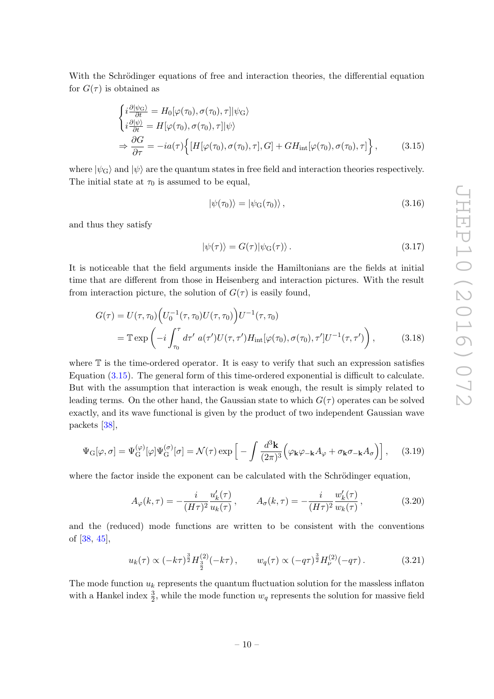With the Schrödinger equations of free and interaction theories, the differential equation for  $G(\tau)$  is obtained as

$$
\begin{cases}\ni \frac{\partial |\psi_{\rm G}\rangle}{\partial t} = H_0[\varphi(\tau_0), \sigma(\tau_0), \tau] |\psi_{\rm G}\rangle \\
i \frac{\partial |\psi\rangle}{\partial t} = H[\varphi(\tau_0), \sigma(\tau_0), \tau] |\psi\rangle \\
\Rightarrow \frac{\partial G}{\partial \tau} = -ia(\tau) \Big\{ [H[\varphi(\tau_0), \sigma(\tau_0), \tau], G] + GH_{\rm int}[\varphi(\tau_0), \sigma(\tau_0), \tau] \Big\},\n\end{cases} \tag{3.15}
$$

where  $|\psi_{\rm G}\rangle$  and  $|\psi\rangle$  are the quantum states in free field and interaction theories respectively. The initial state at  $\tau_0$  is assumed to be equal,

<span id="page-10-0"></span>
$$
|\psi(\tau_0)\rangle = |\psi_{\rm G}(\tau_0)\rangle, \qquad (3.16)
$$

and thus they satisfy

<span id="page-10-1"></span>
$$
|\psi(\tau)\rangle = G(\tau)|\psi_{\mathcal{G}}(\tau)\rangle. \tag{3.17}
$$

It is noticeable that the field arguments inside the Hamiltonians are the fields at initial time that are different from those in Heisenberg and interaction pictures. With the result from interaction picture, the solution of  $G(\tau)$  is easily found,

$$
G(\tau) = U(\tau, \tau_0) \Big( U_0^{-1}(\tau, \tau_0) U(\tau, \tau_0) \Big) U^{-1}(\tau, \tau_0)
$$
  
=  $\mathbb{T} \exp \Big( -i \int_{\tau_0}^{\tau} d\tau' \ a(\tau') U(\tau, \tau') H_{\rm int}[\varphi(\tau_0), \sigma(\tau_0), \tau'] U^{-1}(\tau, \tau') \Big),$  (3.18)

where  $\mathbb T$  is the time-ordered operator. It is easy to verify that such an expression satisfies Equation [\(3.15\)](#page-10-0). The general form of this time-ordered exponential is difficult to calculate. But with the assumption that interaction is weak enough, the result is simply related to leading terms. On the other hand, the Gaussian state to which  $G(\tau)$  operates can be solved exactly, and its wave functional is given by the product of two independent Gaussian wave packets [\[38\]](#page-25-6),

$$
\Psi_{\mathcal{G}}[\varphi,\sigma] = \Psi_{\mathcal{G}}^{(\varphi)}[\varphi]\Psi_{\mathcal{G}}^{(\sigma)}[\sigma] = \mathcal{N}(\tau)\exp\left[-\int \frac{d^3\mathbf{k}}{(2\pi)^3} \left(\varphi_{\mathbf{k}}\varphi_{-\mathbf{k}}A_{\varphi} + \sigma_{\mathbf{k}}\sigma_{-\mathbf{k}}A_{\sigma}\right)\right],\tag{3.19}
$$

where the factor inside the exponent can be calculated with the Schrödinger equation,

$$
A_{\varphi}(k,\tau) = -\frac{i}{(H\tau)^2} \frac{u'_k(\tau)}{u_k(\tau)}, \qquad A_{\sigma}(k,\tau) = -\frac{i}{(H\tau)^2} \frac{w'_k(\tau)}{w_k(\tau)},
$$
(3.20)

and the (reduced) mode functions are written to be consistent with the conventions of [\[38,](#page-25-6) [45\]](#page-25-11),

$$
u_k(\tau) \propto (-k\tau)^{\frac{3}{2}} H_{\frac{3}{2}}^{(2)}(-k\tau), \qquad w_q(\tau) \propto (-q\tau)^{\frac{3}{2}} H_{\nu}^{(2)}(-q\tau). \tag{3.21}
$$

The mode function  $u_k$  represents the quantum fluctuation solution for the massless inflaton with a Hankel index  $\frac{3}{2}$ , while the mode function  $w_q$  represents the solution for massive field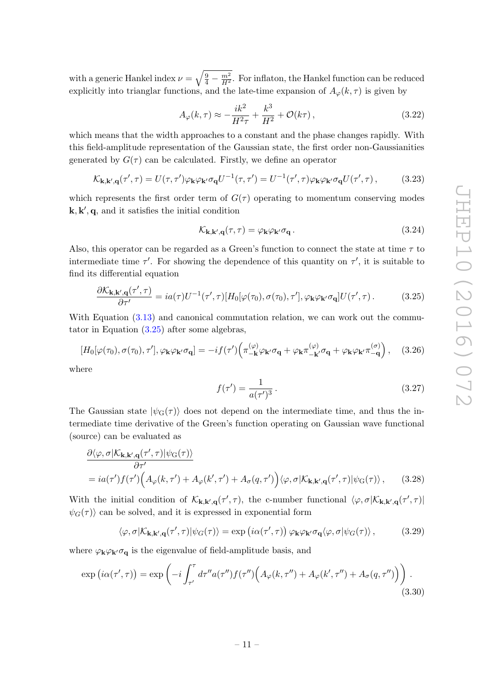with a generic Hankel index  $\nu = \sqrt{\frac{9}{4} - \frac{m^2}{H^2}}$ . For inflaton, the Hankel function can be reduced explicitly into trianglar functions, and the late-time expansion of  $A_{\varphi}(k, \tau)$  is given by

$$
A_{\varphi}(k,\tau) \approx -\frac{ik^2}{H^2\tau} + \frac{k^3}{H^2} + \mathcal{O}(k\tau),
$$
\n(3.22)

which means that the width approaches to a constant and the phase changes rapidly. With this field-amplitude representation of the Gaussian state, the first order non-Gaussianities generated by  $G(\tau)$  can be calculated. Firstly, we define an operator

$$
\mathcal{K}_{\mathbf{k},\mathbf{k}',\mathbf{q}}(\tau',\tau) = U(\tau,\tau')\varphi_{\mathbf{k}}\varphi_{\mathbf{k}'}\sigma_{\mathbf{q}}U^{-1}(\tau,\tau') = U^{-1}(\tau',\tau)\varphi_{\mathbf{k}}\varphi_{\mathbf{k}'}\sigma_{\mathbf{q}}U(\tau',\tau),\tag{3.23}
$$

which represents the first order term of  $G(\tau)$  operating to momentum conserving modes  $\mathbf{k}, \mathbf{k}', \mathbf{q}$ , and it satisfies the initial condition

$$
\mathcal{K}_{\mathbf{k},\mathbf{k}',\mathbf{q}}(\tau,\tau) = \varphi_{\mathbf{k}}\varphi_{\mathbf{k}'}\sigma_{\mathbf{q}}\,. \tag{3.24}
$$

Also, this operator can be regarded as a Green's function to connect the state at time  $\tau$  to intermediate time  $\tau'$ . For showing the dependence of this quantity on  $\tau'$ , it is suitable to find its differential equation

$$
\frac{\partial \mathcal{K}_{\mathbf{k},\mathbf{k}',\mathbf{q}}(\tau',\tau)}{\partial \tau'} = ia(\tau)U^{-1}(\tau',\tau)[H_0[\varphi(\tau_0),\sigma(\tau_0),\tau'],\varphi_{\mathbf{k}}\varphi_{\mathbf{k}'}\sigma_{\mathbf{q}}]U(\tau',\tau).
$$
(3.25)

With Equation  $(3.13)$  and canonical commutation relation, we can work out the commutator in Equation [\(3.25\)](#page-11-0) after some algebras,

$$
[H_0[\varphi(\tau_0), \sigma(\tau_0), \tau'], \varphi_\mathbf{k} \varphi_{\mathbf{k}'} \sigma_\mathbf{q}] = -if(\tau') \left( \pi_{-\mathbf{k}}^{(\varphi)} \varphi_{\mathbf{k}'} \sigma_\mathbf{q} + \varphi_{\mathbf{k}} \pi_{-\mathbf{k}'}^{(\varphi)} \sigma_\mathbf{q} + \varphi_{\mathbf{k}} \varphi_{\mathbf{k}'} \pi_{-\mathbf{q}}^{(\sigma)} \right), \quad (3.26)
$$

where

<span id="page-11-1"></span><span id="page-11-0"></span>
$$
f(\tau') = \frac{1}{a(\tau')^3} \,. \tag{3.27}
$$

The Gaussian state  $|\psi_{\rm G}(\tau)\rangle$  does not depend on the intermediate time, and thus the intermediate time derivative of the Green's function operating on Gaussian wave functional (source) can be evaluated as

$$
\frac{\partial \langle \varphi, \sigma | K_{\mathbf{k}, \mathbf{k}', \mathbf{q}}(\tau', \tau) | \psi_{\mathbf{G}}(\tau) \rangle}{\partial \tau'}
$$
\n
$$
= ia(\tau') f(\tau') \Big( A_{\varphi}(k, \tau') + A_{\varphi}(k', \tau') + A_{\sigma}(q, \tau') \Big) \langle \varphi, \sigma | K_{\mathbf{k}, \mathbf{k}', \mathbf{q}}(\tau', \tau) | \psi_{\mathbf{G}}(\tau) \rangle , \qquad (3.28)
$$

With the initial condition of  $\mathcal{K}_{k,k',q}(\tau',\tau)$ , the c-number functional  $\langle \varphi, \sigma | \mathcal{K}_{k,k',q}(\tau',\tau) |$  $\psi_G(\tau)$  can be solved, and it is expressed in exponential form

$$
\langle \varphi, \sigma | \mathcal{K}_{\mathbf{k}, \mathbf{k}', \mathbf{q}}(\tau', \tau) | \psi_G(\tau) \rangle = \exp(i\alpha(\tau', \tau)) \, \varphi_{\mathbf{k}} \varphi_{\mathbf{k}'} \sigma_{\mathbf{q}} \langle \varphi, \sigma | \psi_G(\tau) \rangle \,, \tag{3.29}
$$

where  $\varphi_{\mathbf{k}}\varphi_{\mathbf{k}'}\sigma_{\mathbf{q}}$  is the eigenvalue of field-amplitude basis, and

$$
\exp(i\alpha(\tau',\tau)) = \exp\left(-i\int_{\tau'}^{\tau} d\tau'' a(\tau'') f(\tau'') \Big(A_{\varphi}(k,\tau'') + A_{\varphi}(k',\tau'') + A_{\sigma}(q,\tau'')\Big)\right). \tag{3.30}
$$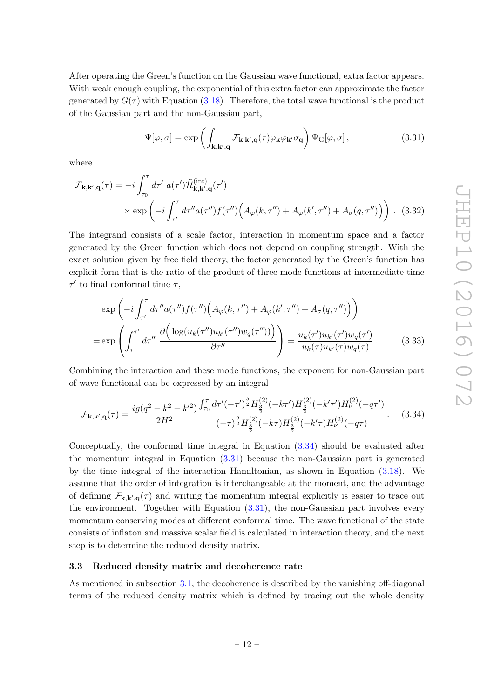After operating the Green's function on the Gaussian wave functional, extra factor appears. With weak enough coupling, the exponential of this extra factor can approximate the factor generated by  $G(\tau)$  with Equation [\(3.18\)](#page-10-1). Therefore, the total wave functional is the product of the Gaussian part and the non-Gaussian part,

<span id="page-12-2"></span>
$$
\Psi[\varphi,\sigma] = \exp\left(\int_{\mathbf{k},\mathbf{k}',\mathbf{q}} \mathcal{F}_{\mathbf{k},\mathbf{k}',\mathbf{q}}(\tau) \varphi_{\mathbf{k}} \varphi_{\mathbf{k}'} \sigma_{\mathbf{q}}\right) \Psi_{\mathbf{G}}[\varphi,\sigma],\tag{3.31}
$$

where

$$
\mathcal{F}_{\mathbf{k},\mathbf{k}',\mathbf{q}}(\tau) = -i \int_{\tau_0}^{\tau} d\tau' \ a(\tau') \tilde{\mathcal{H}}_{\mathbf{k},\mathbf{k}',\mathbf{q}}^{(\text{int})}(\tau')
$$
  
 
$$
\times \exp\left(-i \int_{\tau'}^{\tau} d\tau'' a(\tau'') f(\tau'') \Big( A_{\varphi}(k,\tau'') + A_{\varphi}(k',\tau'') + A_{\sigma}(q,\tau'') \Big) \right). (3.32)
$$

The integrand consists of a scale factor, interaction in momentum space and a factor generated by the Green function which does not depend on coupling strength. With the exact solution given by free field theory, the factor generated by the Green's function has explicit form that is the ratio of the product of three mode functions at intermediate time  $\tau'$  to final conformal time  $\tau$ ,

$$
\exp\left(-i\int_{\tau'}^{\tau} d\tau'' a(\tau'') f(\tau'') \left(A_{\varphi}(k,\tau'') + A_{\varphi}(k',\tau'') + A_{\sigma}(q,\tau'')\right)\right)
$$

$$
= \exp\left(\int_{\tau}^{\tau'} d\tau'' \frac{\partial\left(\log(u_k(\tau'')u_{k'}(\tau'')w_q(\tau''))\right)}{\partial \tau''}\right) = \frac{u_k(\tau')u_{k'}(\tau')w_q(\tau')}{u_k(\tau)u_{k'}(\tau)w_q(\tau)}.
$$
(3.33)

Combining the interaction and these mode functions, the exponent for non-Gaussian part of wave functional can be expressed by an integral

<span id="page-12-1"></span>
$$
\mathcal{F}_{\mathbf{k},\mathbf{k}',\mathbf{q}}(\tau) = \frac{ig(q^2 - k^2 - k'^2)}{2H^2} \frac{\int_{\tau_0}^{\tau} d\tau'(-\tau')^{\frac{5}{2}} H_{\frac{3}{2}}^{(2)}(-k\tau') H_{\frac{3}{2}}^{(2)}(-k'\tau') H_{\nu}^{(2)}(-q\tau')}{(-\tau)^{\frac{9}{2}} H_{\frac{3}{2}}^{(2)}(-k\tau) H_{\frac{3}{2}}^{(2)}(-k'\tau) H_{\nu}^{(2)}(-q\tau)}.
$$
(3.34)

Conceptually, the conformal time integral in Equation [\(3.34\)](#page-12-1) should be evaluated after the momentum integral in Equation [\(3.31\)](#page-12-2) because the non-Gaussian part is generated by the time integral of the interaction Hamiltonian, as shown in Equation [\(3.18\)](#page-10-1). We assume that the order of integration is interchangeable at the moment, and the advantage of defining  $\mathcal{F}_{k,k',q}(\tau)$  and writing the momentum integral explicitly is easier to trace out the environment. Together with Equation [\(3.31\)](#page-12-2), the non-Gaussian part involves every momentum conserving modes at different conformal time. The wave functional of the state consists of inflaton and massive scalar field is calculated in interaction theory, and the next step is to determine the reduced density matrix.

## <span id="page-12-0"></span>3.3 Reduced density matrix and decoherence rate

As mentioned in subsection [3.1,](#page-7-1) the decoherence is described by the vanishing off-diagonal terms of the reduced density matrix which is defined by tracing out the whole density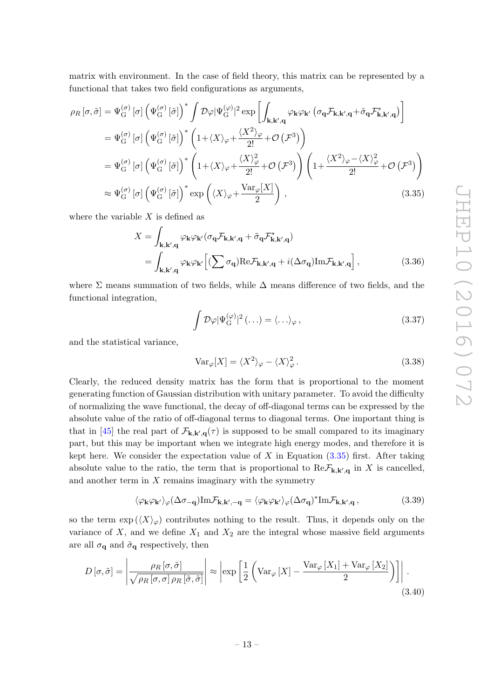matrix with environment. In the case of field theory, this matrix can be represented by a functional that takes two field configurations as arguments,

$$
\rho_R[\sigma,\tilde{\sigma}] = \Psi_G^{(\sigma)}[\sigma] \left( \Psi_G^{(\sigma)}[\tilde{\sigma}] \right)^* \int \mathcal{D}\varphi |\Psi_G^{(\varphi)}|^2 \exp \left[ \int_{\mathbf{k},\mathbf{k}',\mathbf{q}} \varphi_{\mathbf{k}} \varphi_{\mathbf{k}'} \left( \sigma_{\mathbf{q}} \mathcal{F}_{\mathbf{k},\mathbf{k}',\mathbf{q}} + \tilde{\sigma}_{\mathbf{q}} \mathcal{F}_{\mathbf{k},\mathbf{k}',\mathbf{q}}^* \right) \right]
$$
  
\n
$$
= \Psi_G^{(\sigma)}[\sigma] \left( \Psi_G^{(\sigma)}[\tilde{\sigma}] \right)^* \left( 1 + \langle X \rangle_{\varphi} + \frac{\langle X^2 \rangle_{\varphi}}{2!} + \mathcal{O} \left( \mathcal{F}^3 \right) \right)
$$
  
\n
$$
= \Psi_G^{(\sigma)}[\sigma] \left( \Psi_G^{(\sigma)}[\tilde{\sigma}] \right)^* \left( 1 + \langle X \rangle_{\varphi} + \frac{\langle X \rangle_{\varphi}^2}{2!} + \mathcal{O} \left( \mathcal{F}^3 \right) \right) \left( 1 + \frac{\langle X^2 \rangle_{\varphi} - \langle X \rangle_{\varphi}^2}{2!} + \mathcal{O} \left( \mathcal{F}^3 \right) \right)
$$
  
\n
$$
\approx \Psi_G^{(\sigma)}[\sigma] \left( \Psi_G^{(\sigma)}[\tilde{\sigma}] \right)^* \exp \left( \langle X \rangle_{\varphi} + \frac{\text{Var}_{\varphi}[X]}{2} \right), \tag{3.35}
$$

where the variable  $X$  is defined as

$$
X = \int_{\mathbf{k}, \mathbf{k}', \mathbf{q}} \varphi_{\mathbf{k}} \varphi_{\mathbf{k}'} (\sigma_{\mathbf{q}} \mathcal{F}_{\mathbf{k}, \mathbf{k}', \mathbf{q}} + \tilde{\sigma}_{\mathbf{q}} \mathcal{F}_{\mathbf{k}, \mathbf{k}', \mathbf{q}}^{*})
$$
  
= 
$$
\int_{\mathbf{k}, \mathbf{k}', \mathbf{q}} \varphi_{\mathbf{k}} \varphi_{\mathbf{k}'} \left[ (\sum \sigma_{\mathbf{q}}) \text{Re} \mathcal{F}_{\mathbf{k}, \mathbf{k}', \mathbf{q}} + i (\Delta \sigma_{\mathbf{q}}) \text{Im} \mathcal{F}_{\mathbf{k}, \mathbf{k}', \mathbf{q}} \right],
$$
(3.36)

where  $\Sigma$  means summation of two fields, while  $\Delta$  means difference of two fields, and the functional integration,

<span id="page-13-0"></span>
$$
\int \mathcal{D}\varphi |\Psi_{\mathcal{G}}^{(\varphi)}|^2 (\ldots) = \langle \ldots \rangle_{\varphi}, \qquad (3.37)
$$

and the statistical variance,

$$
Var_{\varphi}[X] = \langle X^2 \rangle_{\varphi} - \langle X \rangle_{\varphi}^2.
$$
\n(3.38)

Clearly, the reduced density matrix has the form that is proportional to the moment generating function of Gaussian distribution with unitary parameter. To avoid the difficulty of normalizing the wave functional, the decay of off-diagonal terms can be expressed by the absolute value of the ratio of off-diagonal terms to diagonal terms. One important thing is that in [\[45\]](#page-25-11) the real part of  $\mathcal{F}_{k,k',q}(\tau)$  is supposed to be small compared to its imaginary part, but this may be important when we integrate high energy modes, and therefore it is kept here. We consider the expectation value of X in Equation  $(3.35)$  first. After taking absolute value to the ratio, the term that is proportional to  $\text{Re}\mathcal{F}_{k,k',q}$  in X is cancelled, and another term in  $X$  remains imaginary with the symmetry

<span id="page-13-1"></span>
$$
\langle \varphi_{\mathbf{k}} \varphi_{\mathbf{k'}} \rangle_{\varphi} (\Delta \sigma_{-\mathbf{q}}) \text{Im} \mathcal{F}_{\mathbf{k}, \mathbf{k'}, -\mathbf{q}} = \langle \varphi_{\mathbf{k}} \varphi_{\mathbf{k'}} \rangle_{\varphi} (\Delta \sigma_{\mathbf{q}})^* \text{Im} \mathcal{F}_{\mathbf{k}, \mathbf{k'}, \mathbf{q}} ,
$$
 (3.39)

so the term  $\exp\left(\langle X\rangle_{\varphi}\right)$  contributes nothing to the result. Thus, it depends only on the variance of  $X$ , and we define  $X_1$  and  $X_2$  are the integral whose massive field arguments are all  $\sigma_{\mathbf{q}}$  and  $\tilde{\sigma}_{\mathbf{q}}$  respectively, then

$$
D\left[\sigma,\tilde{\sigma}\right] = \left| \frac{\rho_R\left[\sigma,\tilde{\sigma}\right]}{\sqrt{\rho_R\left[\sigma,\sigma\right]\rho_R\left[\tilde{\sigma},\tilde{\sigma}\right]}} \right| \approx \left| \exp\left[\frac{1}{2}\left(\text{Var}_{\varphi}\left[X\right] - \frac{\text{Var}_{\varphi}\left[X_1\right] + \text{Var}_{\varphi}\left[X_2\right]}{2}\right)\right] \right|.
$$
\n(3.40)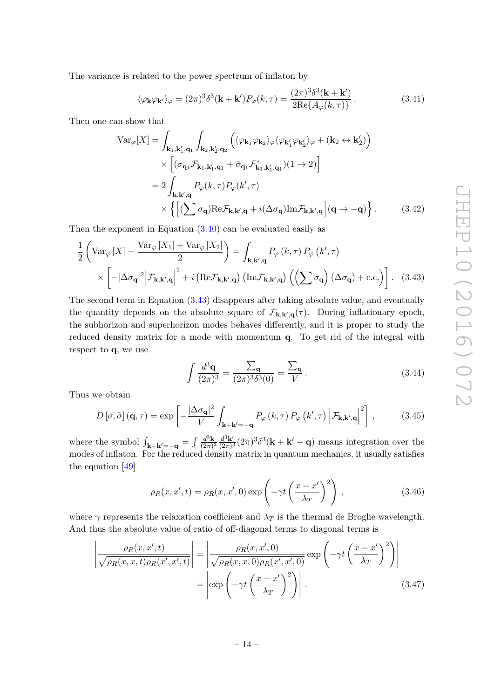The variance is related to the power spectrum of inflaton by

$$
\langle \varphi_{\mathbf{k}} \varphi_{\mathbf{k'}} \rangle_{\varphi} = (2\pi)^3 \delta^3(\mathbf{k} + \mathbf{k'}) P_{\varphi}(k, \tau) = \frac{(2\pi)^3 \delta^3(\mathbf{k} + \mathbf{k'})}{2 \text{Re}\{A_{\varphi}(k, \tau)\}}.
$$
 (3.41)

Then one can show that

$$
\operatorname{Var}_{\varphi}[X] = \int_{\mathbf{k}_{1},\mathbf{k}'_{1},\mathbf{q}_{1}} \int_{\mathbf{k}_{2},\mathbf{k}'_{2},\mathbf{q}_{2}} \left( \langle \varphi_{\mathbf{k}_{1}} \varphi_{\mathbf{k}_{2}} \rangle_{\varphi} \langle \varphi_{\mathbf{k}'_{1}} \varphi_{\mathbf{k}'_{2}} \rangle_{\varphi} + (\mathbf{k}_{2} \leftrightarrow \mathbf{k}'_{2}) \right) \times \left[ (\sigma_{\mathbf{q}_{1}} \mathcal{F}_{\mathbf{k}_{1},\mathbf{k}'_{1},\mathbf{q}_{1}} + \tilde{\sigma}_{\mathbf{q}_{1}} \mathcal{F}_{\mathbf{k}_{1},\mathbf{k}'_{1},\mathbf{q}_{1}}^{*})(1 \to 2) \right] \n= 2 \int_{\mathbf{k},\mathbf{k}',\mathbf{q}} P_{\varphi}(k,\tau) P_{\varphi}(k',\tau) \times \left\{ \left[ (\sum \sigma_{\mathbf{q}}) \text{Re} \mathcal{F}_{\mathbf{k},\mathbf{k}',\mathbf{q}} + i (\Delta \sigma_{\mathbf{q}}) \text{Im} \mathcal{F}_{\mathbf{k},\mathbf{k}',\mathbf{q}} \right] (\mathbf{q} \to -\mathbf{q}) \right\}.
$$
\n(3.42)

Then the exponent in Equation [\(3.40\)](#page-13-1) can be evaluated easily as

$$
\frac{1}{2} \left( \text{Var}_{\varphi} \left[ X \right] - \frac{\text{Var}_{\varphi} \left[ X_1 \right] + \text{Var}_{\varphi} \left[ X_2 \right]}{2} \right) = \int_{\mathbf{k}, \mathbf{k}', \mathbf{q}} P_{\varphi} \left( k, \tau \right) P_{\varphi} \left( k', \tau \right)
$$
\n
$$
\times \left[ -|\Delta \sigma_{\mathbf{q}}|^2 \middle| \mathcal{F}_{\mathbf{k}, \mathbf{k}', \mathbf{q}} \right|^2 + i \left( \text{Re} \mathcal{F}_{\mathbf{k}, \mathbf{k}', \mathbf{q}} \right) \left( \text{Im} \mathcal{F}_{\mathbf{k}, \mathbf{k}', \mathbf{q}} \right) \left( \left( \sum \sigma_{\mathbf{q}} \right) (\Delta \sigma_{\mathbf{q}}) + \text{c.c.} \right) \right]. \tag{3.43}
$$

The second term in Equation [\(3.43\)](#page-14-0) disappears after taking absolute value, and eventually the quantity depends on the absolute square of  $\mathcal{F}_{k,k',q}(\tau)$ . During inflationary epoch, the subhorizon and superhorizon modes behaves differently, and it is proper to study the reduced density matrix for a mode with momentum q. To get rid of the integral with respect to q, we use

<span id="page-14-2"></span><span id="page-14-1"></span><span id="page-14-0"></span>
$$
\int \frac{d^3 \mathbf{q}}{(2\pi)^3} = \frac{\sum_{\mathbf{q}}}{(2\pi)^3 \delta^3(0)} = \frac{\sum_{\mathbf{q}}}{V}.
$$
\n(3.44)

Thus we obtain

$$
D\left[\sigma,\tilde{\sigma}\right]\left(\mathbf{q},\tau\right) = \exp\left[-\frac{|\Delta\sigma_{\mathbf{q}}|^2}{V}\int_{\mathbf{k}+\mathbf{k}'=-\mathbf{q}}P_{\varphi}\left(k,\tau\right)P_{\varphi}\left(k',\tau\right)\left|\mathcal{F}_{\mathbf{k},\mathbf{k}',\mathbf{q}}\right|^2\right],\tag{3.45}
$$

where the symbol  $\int_{\mathbf{k}+\mathbf{k}'=-\mathbf{q}} = \int \frac{d^3\mathbf{k}}{(2\pi)}$  $rac{d^3\mathbf{k}}{(2\pi)^3} \frac{d^3\mathbf{k}'}{(2\pi)^3}$  $\frac{d^3\mathbf{k}'}{(2\pi)^3} (2\pi)^3 \delta^3(\mathbf{k} + \mathbf{k}' + \mathbf{q})$  means integration over the modes of inflaton. For the reduced density matrix in quantum mechanics, it usually satisfies the equation [\[49\]](#page-25-16)

$$
\rho_R(x, x', t) = \rho_R(x, x', 0) \exp\left(-\gamma t \left(\frac{x - x'}{\lambda_T}\right)^2\right),\tag{3.46}
$$

where  $\gamma$  represents the relaxation coefficient and  $\lambda_T$  is the thermal de Broglie wavelength. And thus the absolute value of ratio of off-diagonal terms to diagonal terms is

$$
\left| \frac{\rho_R(x, x', t)}{\sqrt{\rho_R(x, x, t)\rho_R(x', x', t)}} \right| = \left| \frac{\rho_R(x, x', 0)}{\sqrt{\rho_R(x, x, 0)\rho_R(x', x', 0)}} \exp\left(-\gamma t \left(\frac{x - x'}{\lambda_T}\right)^2\right) \right|
$$
\n
$$
= \left| \exp\left(-\gamma t \left(\frac{x - x'}{\lambda_T}\right)^2\right) \right|.
$$
\n(3.47)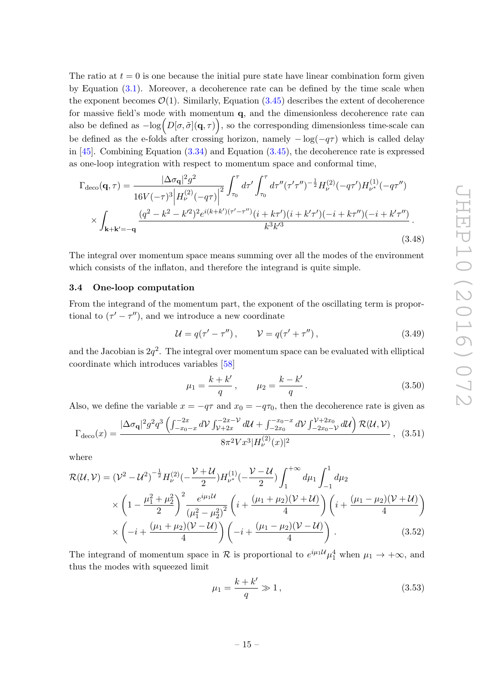The ratio at  $t = 0$  is one because the initial pure state have linear combination form given by Equation [\(3.1\)](#page-7-2). Moreover, a decoherence rate can be defined by the time scale when the exponent becomes  $\mathcal{O}(1)$ . Similarly, Equation [\(3.45\)](#page-14-1) describes the extent of decoherence for massive field's mode with momentum q, and the dimensionless decoherence rate can also be defined as  $-\log(D[\sigma,\tilde{\sigma}](\mathbf{q},\tau))$ , so the corresponding dimensionless time-scale can be defined as the e-folds after crossing horizon, namely  $-\log(-q\tau)$  which is called delay in  $[45]$ . Combining Equation  $(3.34)$  and Equation  $(3.45)$ , the decoherence rate is expressed as one-loop integration with respect to momentum space and conformal time,

$$
\Gamma_{\text{deco}}(\mathbf{q},\tau) = \frac{|\Delta\sigma_{\mathbf{q}}|^2 g^2}{16V(-\tau)^3 \left| H_{\nu}^{(2)}(-q\tau) \right|^2} \int_{\tau_0}^{\tau} d\tau' \int_{\tau_0}^{\tau} d\tau''(\tau'\tau'')^{-\frac{1}{2}} H_{\nu}^{(2)}(-q\tau') H_{\nu^*}^{(1)}(-q\tau'')
$$
\n
$$
\times \int_{\mathbf{k}+\mathbf{k}'=-\mathbf{q}} \frac{(q^2 - k^2 - k'^2)^2 e^{i(k+k')( \tau'-\tau'')} (i+k\tau')(i+k'\tau') (-i+k\tau'') (-i+k'\tau'')}{k^3 k'^3}.
$$
\n(3.48)

The integral over momentum space means summing over all the modes of the environment which consists of the inflaton, and therefore the integrand is quite simple.

#### <span id="page-15-0"></span>3.4 One-loop computation

From the integrand of the momentum part, the exponent of the oscillating term is proportional to  $(\tau' - \tau'')$ , and we introduce a new coordinate

<span id="page-15-1"></span>
$$
\mathcal{U} = q(\tau' - \tau''), \qquad \mathcal{V} = q(\tau' + \tau''), \tag{3.49}
$$

and the Jacobian is  $2q^2$ . The integral over momentum space can be evaluated with elliptical coordinate which introduces variables [\[58\]](#page-26-8)

$$
\mu_1 = \frac{k + k'}{q}, \qquad \mu_2 = \frac{k - k'}{q}.
$$
\n(3.50)

Also, we define the variable  $x = -q\tau$  and  $x_0 = -q\tau_0$ , then the decoherence rate is given as

$$
\Gamma_{\text{deco}}(x) = \frac{|\Delta \sigma_{\mathbf{q}}|^2 g^2 q^3 \left( \int_{-x_0-x}^{-2x} dV \int_{\mathcal{V}+2x}^{-2x-\mathcal{V}} d\mathcal{U} + \int_{-2x_0}^{-x_0-x} dV \int_{-2x_0-\mathcal{V}}^{\mathcal{V}+2x_0} d\mathcal{U} \right) \mathcal{R}(\mathcal{U}, \mathcal{V})}{8\pi^2 V x^3 |H_{\mathcal{V}}^{(2)}(x)|^2}, \quad (3.51)
$$

where

$$
\mathcal{R}(\mathcal{U}, \mathcal{V}) = (\mathcal{V}^2 - \mathcal{U}^2)^{-\frac{1}{2}} H_{\nu}^{(2)}(-\frac{\mathcal{V} + \mathcal{U}}{2}) H_{\nu^*}^{(1)}(-\frac{\mathcal{V} - \mathcal{U}}{2}) \int_1^{+\infty} d\mu_1 \int_{-1}^1 d\mu_2
$$
  
\$\times \left(1 - \frac{\mu\_1^2 + \mu\_2^2}{2}\right)^2 \frac{e^{i\mu\_1 \mathcal{U}}}{(\mu\_1^2 - \mu\_2^2)^2} \left(i + \frac{(\mu\_1 + \mu\_2)(\mathcal{V} + \mathcal{U})}{4}\right) \left(i + \frac{(\mu\_1 - \mu\_2)(\mathcal{V} + \mathcal{U})}{4}\right) \times \left(-i + \frac{(\mu\_1 + \mu\_2)(\mathcal{V} - \mathcal{U})}{4}\right) \left(-i + \frac{(\mu\_1 - \mu\_2)(\mathcal{V} - \mathcal{U})}{4}\right). \tag{3.52}

The integrand of momentum space in  $\mathcal R$  is proportional to  $e^{i\mu_1 \mathcal{U}} \mu_1^4$  when  $\mu_1 \to +\infty$ , and thus the modes with squeezed limit

$$
\mu_1 = \frac{k + k'}{q} \gg 1,\tag{3.53}
$$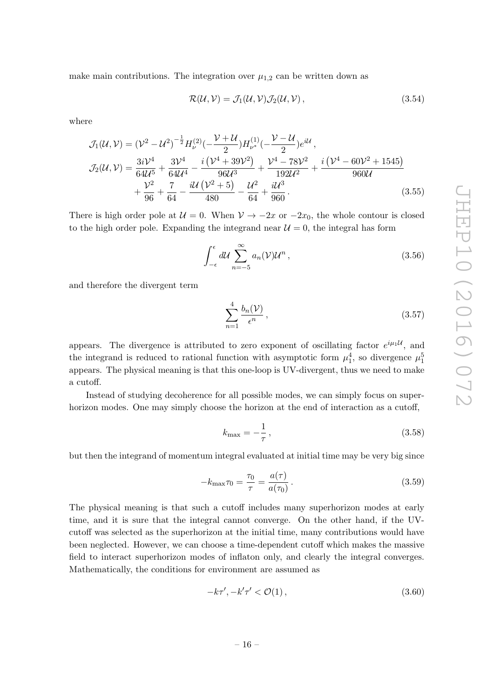make main contributions. The integration over  $\mu_{1,2}$  can be written down as

$$
\mathcal{R}(\mathcal{U}, \mathcal{V}) = \mathcal{J}_1(\mathcal{U}, \mathcal{V}) \mathcal{J}_2(\mathcal{U}, \mathcal{V}), \qquad (3.54)
$$

where

$$
\mathcal{J}_{1}(\mathcal{U}, \mathcal{V}) = (\mathcal{V}^{2} - \mathcal{U}^{2})^{-\frac{1}{2}} H_{\nu}^{(2)}(-\frac{\mathcal{V} + \mathcal{U}}{2}) H_{\nu^{*}}^{(1)}(-\frac{\mathcal{V} - \mathcal{U}}{2}) e^{i\mathcal{U}},
$$
\n
$$
\mathcal{J}_{2}(\mathcal{U}, \mathcal{V}) = \frac{3i\mathcal{V}^{4}}{64\mathcal{U}^{5}} + \frac{3\mathcal{V}^{4}}{64\mathcal{U}^{4}} - \frac{i(\mathcal{V}^{4} + 39\mathcal{V}^{2})}{96\mathcal{U}^{3}} + \frac{\mathcal{V}^{4} - 78\mathcal{V}^{2}}{192\mathcal{U}^{2}} + \frac{i(\mathcal{V}^{4} - 60\mathcal{V}^{2} + 1545)}{960\mathcal{U}} + \frac{\mathcal{V}^{2}}{96} + \frac{7}{64} - \frac{i\mathcal{U}(\mathcal{V}^{2} + 5)}{480} - \frac{\mathcal{U}^{2}}{64} + \frac{i\mathcal{U}^{3}}{960}.
$$
\n(3.55)

There is high order pole at  $U = 0$ . When  $V \to -2x$  or  $-2x_0$ , the whole contour is closed to the high order pole. Expanding the integrand near  $\mathcal{U}=0$ , the integral has form

$$
\int_{-\epsilon}^{\epsilon} d\mathcal{U} \sum_{n=-5}^{\infty} a_n(\mathcal{V}) \mathcal{U}^n , \qquad (3.56)
$$

and therefore the divergent term

$$
\sum_{n=1}^{4} \frac{b_n(\mathcal{V})}{\epsilon^n},\tag{3.57}
$$

appears. The divergence is attributed to zero exponent of oscillating factor  $e^{i\mu_1\mathcal{U}}$ , and the integrand is reduced to rational function with asymptotic form  $\mu_1^4$ , so divergence  $\mu_1^5$ appears. The physical meaning is that this one-loop is UV-divergent, thus we need to make a cutoff.

Instead of studying decoherence for all possible modes, we can simply focus on superhorizon modes. One may simply choose the horizon at the end of interaction as a cutoff,

$$
k_{\text{max}} = -\frac{1}{\tau},\tag{3.58}
$$

but then the integrand of momentum integral evaluated at initial time may be very big since

$$
-k_{\max}\tau_0 = \frac{\tau_0}{\tau} = \frac{a(\tau)}{a(\tau_0)}.
$$
\n(3.59)

The physical meaning is that such a cutoff includes many superhorizon modes at early time, and it is sure that the integral cannot converge. On the other hand, if the UVcutoff was selected as the superhorizon at the initial time, many contributions would have been neglected. However, we can choose a time-dependent cutoff which makes the massive field to interact superhorizon modes of inflaton only, and clearly the integral converges. Mathematically, the conditions for environment are assumed as

$$
-k\tau', -k'\tau' < \mathcal{O}(1)\,,\tag{3.60}
$$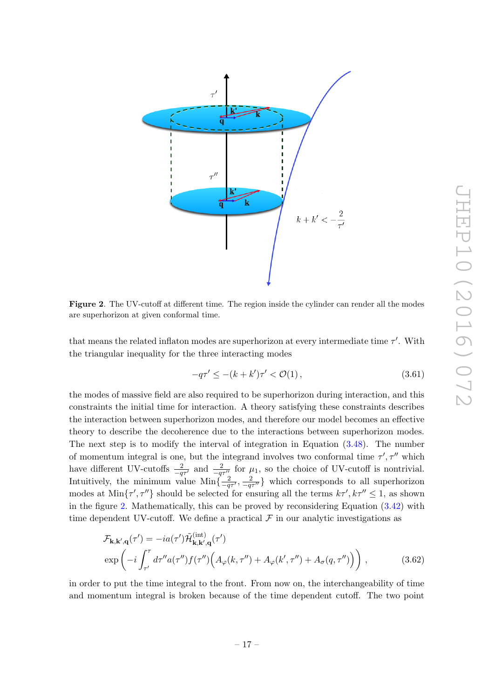

<span id="page-17-0"></span>Figure 2. The UV-cutoff at different time. The region inside the cylinder can render all the modes are superhorizon at given conformal time.

that means the related inflaton modes are superhorizon at every intermediate time  $\tau'$ . With the triangular inequality for the three interacting modes

$$
-q\tau' \le -(k+k')\tau' < \mathcal{O}(1),\tag{3.61}
$$

the modes of massive field are also required to be superhorizon during interaction, and this constraints the initial time for interaction. A theory satisfying these constraints describes the interaction between superhorizon modes, and therefore our model becomes an effective theory to describe the decoherence due to the interactions between superhorizon modes. The next step is to modify the interval of integration in Equation [\(3.48\)](#page-15-1). The number of momentum integral is one, but the integrand involves two conformal time  $\tau', \tau''$  which have different UV-cutoffs  $\frac{2}{-q\tau'}$  and  $\frac{2}{-q\tau''}$  for  $\mu_1$ , so the choice of UV-cutoff is nontrivial. Intuitively, the minimum value  $\text{Min}\left\{\frac{2}{-q\tau'}, \frac{2}{-q\tau''}\right\}$  which corresponds to all superhorizon modes at  $\text{Min}\{\tau', \tau''\}$  should be selected for ensuring all the terms  $k\tau', k\tau'' \leq 1$ , as shown in the figure [2.](#page-17-0) Mathematically, this can be proved by reconsidering Equation [\(3.42\)](#page-14-2) with time dependent UV-cutoff. We define a practical  $\mathcal F$  in our analytic investigations as

$$
\mathcal{F}_{\mathbf{k},\mathbf{k}',\mathbf{q}}(\tau') = -ia(\tau')\tilde{\mathcal{H}}_{\mathbf{k},\mathbf{k}',\mathbf{q}}^{(\text{int})}(\tau')
$$
  
\n
$$
\exp\left(-i\int_{\tau'}^{\tau} d\tau'' a(\tau'') f(\tau'') \Big(A_{\varphi}(k,\tau'') + A_{\varphi}(k',\tau'') + A_{\sigma}(q,\tau'')\Big)\right),
$$
\n(3.62)

in order to put the time integral to the front. From now on, the interchangeability of time and momentum integral is broken because of the time dependent cutoff. The two point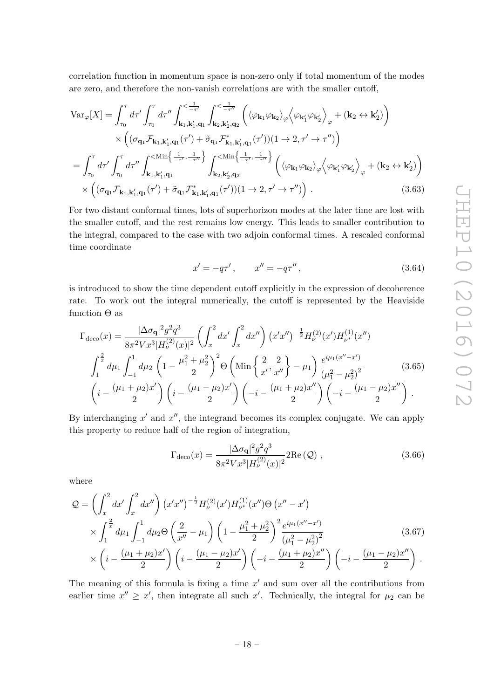correlation function in momentum space is non-zero only if total momentum of the modes are zero, and therefore the non-vanish correlations are with the smaller cutoff,

$$
\text{Var}_{\varphi}[X] = \int_{\tau_0}^{\tau} d\tau' \int_{\tau_0}^{\tau} d\tau'' \int_{\mathbf{k}_1, \mathbf{k}_1', \mathbf{q}_1}^{\langle -\frac{1}{\tau'} \rangle} \int_{\mathbf{k}_2, \mathbf{k}_2', \mathbf{q}_2}^{\langle -\frac{1}{\tau''} \rangle} \left( \langle \varphi_{\mathbf{k}_1} \varphi_{\mathbf{k}_2} \rangle_{\varphi} \langle \varphi_{\mathbf{k}_1'} \varphi_{\mathbf{k}_2'} \rangle_{\varphi} + (\mathbf{k}_2 \leftrightarrow \mathbf{k}_2') \right) \times \left( (\sigma_{\mathbf{q}_1} \mathcal{F}_{\mathbf{k}_1, \mathbf{k}_1', \mathbf{q}_1}(\tau') + \tilde{\sigma}_{\mathbf{q}_1} \mathcal{F}_{\mathbf{k}_1, \mathbf{k}_1', \mathbf{q}_1}^{\star}(\tau')) (1 \rightarrow 2, \tau' \rightarrow \tau'') \right) = \int_{\tau_0}^{\tau} d\tau' \int_{\tau_0}^{\tau} d\tau'' \int_{\mathbf{k}_1, \mathbf{k}_1', \mathbf{q}_1}^{\langle \text{Min}\left\{ \frac{1}{-\tau'}, \frac{1}{-\tau''} \right\}} \int_{\mathbf{k}_2, \mathbf{k}_2', \mathbf{q}_2}^{\langle \text{Min}\left\{ \frac{1}{-\tau'}, \frac{1}{-\tau''} \right\}} \left( \langle \varphi_{\mathbf{k}_1} \varphi_{\mathbf{k}_2} \rangle_{\varphi} \langle \varphi_{\mathbf{k}_1'} \varphi_{\mathbf{k}_2'} \rangle_{\varphi} + (\mathbf{k}_2 \leftrightarrow \mathbf{k}_2') \right) \times \left( (\sigma_{\mathbf{q}_1} \mathcal{F}_{\mathbf{k}_1, \mathbf{k}_1', \mathbf{q}_1}(\tau') + \tilde{\sigma}_{\mathbf{q}_1} \mathcal{F}_{\mathbf{k}_1, \mathbf{k}_1', \mathbf{q}_1}^{\star}(\tau')) (1 \rightarrow 2, \tau' \rightarrow \tau'') \right). \tag{3.63}
$$

For two distant conformal times, lots of superhorizon modes at the later time are lost with the smaller cutoff, and the rest remains low energy. This leads to smaller contribution to the integral, compared to the case with two adjoin conformal times. A rescaled conformal time coordinate

$$
x' = -q\tau', \qquad x'' = -q\tau'', \tag{3.64}
$$

is introduced to show the time dependent cutoff explicitly in the expression of decoherence rate. To work out the integral numerically, the cutoff is represented by the Heaviside function  $\Theta$  as

$$
\Gamma_{\text{deco}}(x) = \frac{|\Delta \sigma_{\mathbf{q}}|^2 g^2 q^3}{8\pi^2 V x^3 |H_{\nu}^{(2)}(x)|^2} \left( \int_x^2 dx' \int_x^2 dx'' \right) (x' x'')^{-\frac{1}{2}} H_{\nu}^{(2)}(x') H_{\nu^*}^{(1)}(x'') \n\int_1^{\frac{2}{x}} d\mu_1 \int_{-1}^1 d\mu_2 \left( 1 - \frac{\mu_1^2 + \mu_2^2}{2} \right)^2 \Theta \left( \text{Min}\left\{ \frac{2}{x'}, \frac{2}{x''} \right\} - \mu_1 \right) \frac{e^{i\mu_1 (x'' - x')}}{(\mu_1^2 - \mu_2^2)^2} \left( i - \frac{(\mu_1 + \mu_2)x'}{2} \right) \left( i - \frac{(\mu_1 - \mu_2)x'}{2} \right) \left( -i - \frac{(\mu_1 + \mu_2)x''}{2} \right) \left( -i - \frac{(\mu_1 - \mu_2)x''}{2} \right).
$$
\n(3.65)

By interchanging  $x'$  and  $x''$ , the integrand becomes its complex conjugate. We can apply this property to reduce half of the region of integration,

<span id="page-18-0"></span>
$$
\Gamma_{\text{deco}}(x) = \frac{|\Delta \sigma_{\mathbf{q}}|^2 g^2 q^3}{8\pi^2 V x^3 |H_{\nu}^{(2)}(x)|^2} 2\text{Re}\left(\mathcal{Q}\right) ,\qquad (3.66)
$$

where

$$
Q = \left(\int_{x}^{2} dx' \int_{x}^{2} dx''\right) (x'x'')^{-\frac{1}{2}} H_{\nu}^{(2)}(x') H_{\nu^*}^{(1)}(x'') \Theta (x'' - x') \times \int_{1}^{\frac{2}{x}} d\mu_{1} \int_{-1}^{1} d\mu_{2} \Theta \left(\frac{2}{x''} - \mu_{1}\right) \left(1 - \frac{\mu_{1}^{2} + \mu_{2}^{2}}{2}\right)^{2} \frac{e^{i\mu_{1}(x'' - x')}}{(\mu_{1}^{2} - \mu_{2}^{2})^{2}} \times \left(i - \frac{(\mu_{1} + \mu_{2})x'}{2}\right) \left(i - \frac{(\mu_{1} - \mu_{2})x'}{2}\right) \left(-i - \frac{(\mu_{1} + \mu_{2})x''}{2}\right) \left(-i - \frac{(\mu_{1} - \mu_{2})x''}{2}\right).
$$
\n(3.67)

The meaning of this formula is fixing a time  $x'$  and sum over all the contributions from earlier time  $x'' \geq x'$ , then integrate all such x'. Technically, the integral for  $\mu_2$  can be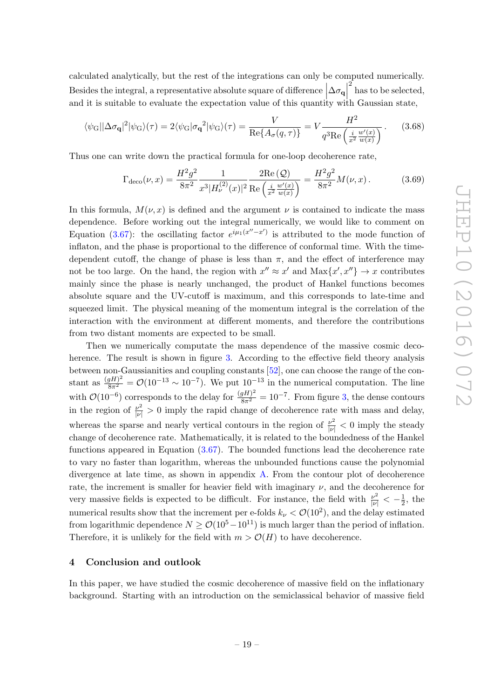calculated analytically, but the rest of the integrations can only be computed numerically. Besides the integral, a representative absolute square of difference  $\big|\Delta \sigma_{\bf q}\big|$ and it is suitable to evaluate the expectation value of this quantity with Gaussian state,  $\sum_{k=1}^{2}$  has to be selected,

$$
\langle \psi_G | \Delta \sigma_\mathbf{q} |^2 | \psi_G \rangle(\tau) = 2 \langle \psi_G | \sigma_\mathbf{q}^2 | \psi_G \rangle(\tau) = \frac{V}{\text{Re}\{A_\sigma(q,\tau)\}} = V \frac{H^2}{q^3 \text{Re}\left(\frac{i}{x^2} \frac{w'(x)}{w(x)}\right)}.
$$
 (3.68)

Thus one can write down the practical formula for one-loop decoherence rate,

<span id="page-19-1"></span>
$$
\Gamma_{\text{deco}}(\nu, x) = \frac{H^2 g^2}{8\pi^2} \frac{1}{x^3 |H_{\nu}^{(2)}(x)|^2} \frac{2 \text{Re}\left(Q\right)}{\text{Re}\left(\frac{i}{x^2} \frac{w'(x)}{w(x)}\right)} = \frac{H^2 g^2}{8\pi^2} M(\nu, x). \tag{3.69}
$$

In this formula,  $M(\nu, x)$  is defined and the argument  $\nu$  is contained to indicate the mass dependence. Before working out the integral numerically, we would like to comment on Equation [\(3.67\)](#page-18-0): the oscillating factor  $e^{i\mu_1(x''-x')}$  is attributed to the mode function of inflaton, and the phase is proportional to the difference of conformal time. With the timedependent cutoff, the change of phase is less than  $\pi$ , and the effect of interference may not be too large. On the hand, the region with  $x'' \approx x'$  and  $\text{Max}\{x', x''\} \to x$  contributes mainly since the phase is nearly unchanged, the product of Hankel functions becomes absolute square and the UV-cutoff is maximum, and this corresponds to late-time and squeezed limit. The physical meaning of the momentum integral is the correlation of the interaction with the environment at different moments, and therefore the contributions from two distant moments are expected to be small.

Then we numerically computate the mass dependence of the massive cosmic deco-herence. The result is shown in figure [3.](#page-20-0) According to the effective field theory analysis between non-Gaussianities and coupling constants [\[52\]](#page-26-2), one can choose the range of the constant as  $\frac{(gH)^2}{8\pi^2} = \mathcal{O}(10^{-13} \sim 10^{-7})$ . We put  $10^{-13}$  in the numerical computation. The line with  $\mathcal{O}(10^{-6})$  corresponds to the delay for  $\frac{(gH)^2}{8\pi^2} = 10^{-7}$ . From figure [3,](#page-20-0) the dense contours in the region of  $\frac{\nu^2}{|\nu|} > 0$  imply the rapid change of decoherence rate with mass and delay, whereas the sparse and nearly vertical contours in the region of  $\frac{\nu^2}{|\nu|} < 0$  imply the steady change of decoherence rate. Mathematically, it is related to the boundedness of the Hankel functions appeared in Equation  $(3.67)$ . The bounded functions lead the decoherence rate to vary no faster than logarithm, whereas the unbounded functions cause the polynomial divergence at late time, as shown in appendix [A.](#page-22-0) From the contour plot of decoherence rate, the increment is smaller for heavier field with imaginary  $\nu$ , and the decoherence for very massive fields is expected to be difficult. For instance, the field with  $\frac{\nu^2}{|\nu|} < -\frac{1}{2}$  $\frac{1}{2}$ , the numerical results show that the increment per e-folds  $k_{\nu} < \mathcal{O}(10^2)$ , and the delay estimated from logarithmic dependence  $N \geq \mathcal{O}(10^5-10^{11})$  is much larger than the period of inflation. Therefore, it is unlikely for the field with  $m > \mathcal{O}(H)$  to have decoherence.

## <span id="page-19-0"></span>4 Conclusion and outlook

In this paper, we have studied the cosmic decoherence of massive field on the inflationary background. Starting with an introduction on the semiclassical behavior of massive field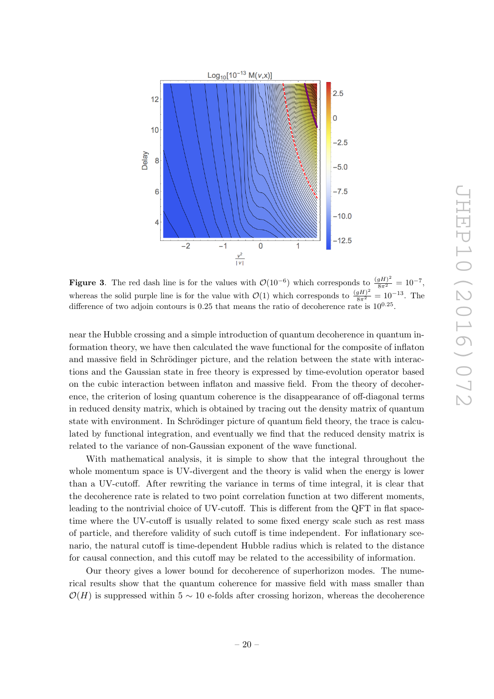

<span id="page-20-0"></span>**Figure 3.** The red dash line is for the values with  $\mathcal{O}(10^{-6})$  which corresponds to  $\frac{(gH)^2}{8\pi^2} = 10^{-7}$ , whereas the solid purple line is for the value with  $\mathcal{O}(1)$  which corresponds to  $\frac{(gH)^2}{8\pi^2} = 10^{-13}$ . The difference of two adjoin contours is  $0.25$  that means the ratio of decoherence rate is  $10^{0.25}$ .

near the Hubble crossing and a simple introduction of quantum decoherence in quantum information theory, we have then calculated the wave functional for the composite of inflaton and massive field in Schrödinger picture, and the relation between the state with interactions and the Gaussian state in free theory is expressed by time-evolution operator based on the cubic interaction between inflaton and massive field. From the theory of decoherence, the criterion of losing quantum coherence is the disappearance of off-diagonal terms in reduced density matrix, which is obtained by tracing out the density matrix of quantum state with environment. In Schrödinger picture of quantum field theory, the trace is calculated by functional integration, and eventually we find that the reduced density matrix is related to the variance of non-Gaussian exponent of the wave functional.

With mathematical analysis, it is simple to show that the integral throughout the whole momentum space is UV-divergent and the theory is valid when the energy is lower than a UV-cutoff. After rewriting the variance in terms of time integral, it is clear that the decoherence rate is related to two point correlation function at two different moments, leading to the nontrivial choice of UV-cutoff. This is different from the QFT in flat spacetime where the UV-cutoff is usually related to some fixed energy scale such as rest mass of particle, and therefore validity of such cutoff is time independent. For inflationary scenario, the natural cutoff is time-dependent Hubble radius which is related to the distance for causal connection, and this cutoff may be related to the accessibility of information.

Our theory gives a lower bound for decoherence of superhorizon modes. The numerical results show that the quantum coherence for massive field with mass smaller than  $\mathcal{O}(H)$  is suppressed within 5 ~ 10 e-folds after crossing horizon, whereas the decoherence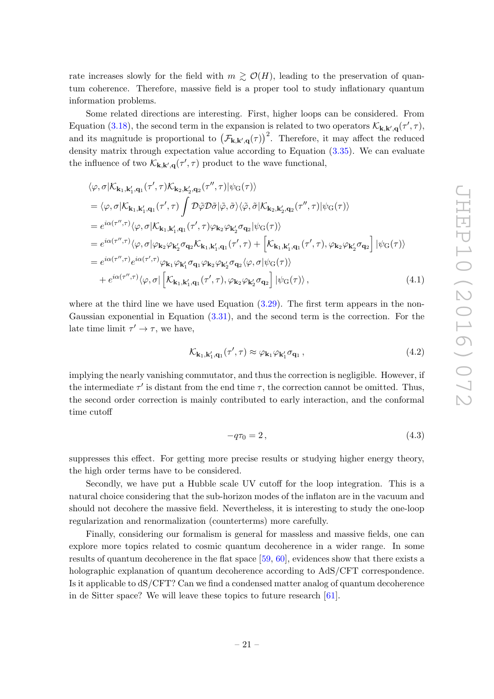rate increases slowly for the field with  $m \gtrsim \mathcal{O}(H)$ , leading to the preservation of quantum coherence. Therefore, massive field is a proper tool to study inflationary quantum information problems.

Some related directions are interesting. First, higher loops can be considered. From Equation [\(3.18\)](#page-10-1), the second term in the expansion is related to two operators  $\mathcal{K}_{\mathbf{k},\mathbf{k}',\mathbf{q}}(\tau',\tau)$ , and its magnitude is proportional to  $(\mathcal{F}_{\mathbf{k},\mathbf{k}',\mathbf{q}}(\tau))^2$ . Therefore, it may affect the reduced density matrix through expectation value according to Equation  $(3.35)$ . We can evaluate the influence of two  $\mathcal{K}_{\mathbf{k},\mathbf{k}',\mathbf{q}}(\tau',\tau)$  product to the wave functional,

$$
\langle \varphi, \sigma | \mathcal{K}_{\mathbf{k}_1, \mathbf{k}_1', \mathbf{q}_1}(\tau', \tau) \mathcal{K}_{\mathbf{k}_2, \mathbf{k}_2', \mathbf{q}_2}(\tau'', \tau) | \psi_G(\tau) \rangle
$$
  
\n
$$
= \langle \varphi, \sigma | \mathcal{K}_{\mathbf{k}_1, \mathbf{k}_1', \mathbf{q}_1}(\tau', \tau) \int \mathcal{D}\tilde{\varphi} \mathcal{D}\tilde{\sigma} | \tilde{\varphi}, \tilde{\sigma} \rangle \langle \tilde{\varphi}, \tilde{\sigma} | \mathcal{K}_{\mathbf{k}_2, \mathbf{k}_2', \mathbf{q}_2}(\tau'', \tau) | \psi_G(\tau) \rangle
$$
  
\n
$$
= e^{i\alpha(\tau'', \tau)} \langle \varphi, \sigma | \mathcal{K}_{\mathbf{k}_1, \mathbf{k}_1', \mathbf{q}_1}(\tau', \tau) \varphi_{\mathbf{k}_2} \varphi_{\mathbf{k}_2'} \sigma_{\mathbf{q}_2} | \psi_G(\tau) \rangle
$$
  
\n
$$
= e^{i\alpha(\tau'', \tau)} \langle \varphi, \sigma | \varphi_{\mathbf{k}_2} \varphi_{\mathbf{k}_2'} \sigma_{\mathbf{q}_2} \mathcal{K}_{\mathbf{k}_1, \mathbf{k}_1', \mathbf{q}_1}(\tau', \tau) + \left[ \mathcal{K}_{\mathbf{k}_1, \mathbf{k}_1', \mathbf{q}_1}(\tau', \tau), \varphi_{\mathbf{k}_2} \varphi_{\mathbf{k}_2'} \sigma_{\mathbf{q}_2} \right] | \psi_G(\tau) \rangle
$$
  
\n
$$
= e^{i\alpha(\tau'', \tau)} e^{i\alpha(\tau', \tau)} \varphi_{\mathbf{k}_1} \varphi_{\mathbf{k}_1'} \sigma_{\mathbf{q}_1} \varphi_{\mathbf{k}_2} \varphi_{\mathbf{k}_2'} \sigma_{\mathbf{q}_2} \langle \varphi, \sigma | \psi_G(\tau) \rangle
$$
  
\n
$$
+ e^{i\alpha(\tau'', \tau)} \langle \varphi, \sigma | \left[ \mathcal{K}_{\mathbf{k}_1, \mathbf{k}_1', \mathbf{q}_1}(\tau', \tau), \varphi_{\mathbf{k}_2} \varphi_{\mathbf{k}_2'} \sigma_{\mathbf{q}_2} \right] | \
$$

where at the third line we have used Equation  $(3.29)$ . The first term appears in the non-Gaussian exponential in Equation [\(3.31\)](#page-12-2), and the second term is the correction. For the late time limit  $\tau' \to \tau$ , we have,

$$
\mathcal{K}_{\mathbf{k}_1, \mathbf{k}'_1, \mathbf{q}_1}(\tau', \tau) \approx \varphi_{\mathbf{k}_1} \varphi_{\mathbf{k}'_1} \sigma_{\mathbf{q}_1} ,\tag{4.2}
$$

implying the nearly vanishing commutator, and thus the correction is negligible. However, if the intermediate  $\tau'$  is distant from the end time  $\tau$ , the correction cannot be omitted. Thus, the second order correction is mainly contributed to early interaction, and the conformal time cutoff

$$
-q\tau_0 = 2\,,\tag{4.3}
$$

suppresses this effect. For getting more precise results or studying higher energy theory, the high order terms have to be considered.

Secondly, we have put a Hubble scale UV cutoff for the loop integration. This is a natural choice considering that the sub-horizon modes of the inflaton are in the vacuum and should not decohere the massive field. Nevertheless, it is interesting to study the one-loop regularization and renormalization (counterterms) more carefully.

Finally, considering our formalism is general for massless and massive fields, one can explore more topics related to cosmic quantum decoherence in a wider range. In some results of quantum decoherence in the flat space [\[59,](#page-26-9) [60\]](#page-26-10), evidences show that there exists a holographic explanation of quantum decoherence according to AdS/CFT correspondence. Is it applicable to dS/CFT? Can we find a condensed matter analog of quantum decoherence in de Sitter space? We will leave these topics to future research [\[61\]](#page-26-11).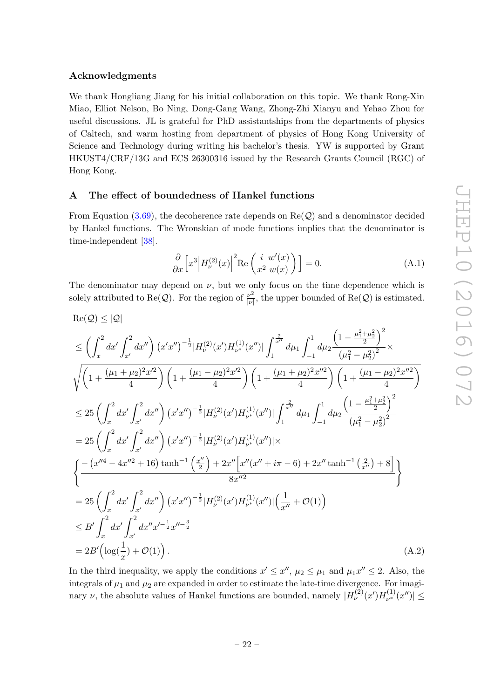#### Acknowledgments

We thank Hongliang Jiang for his initial collaboration on this topic. We thank Rong-Xin Miao, Elliot Nelson, Bo Ning, Dong-Gang Wang, Zhong-Zhi Xianyu and Yehao Zhou for useful discussions. JL is grateful for PhD assistantships from the departments of physics of Caltech, and warm hosting from department of physics of Hong Kong University of Science and Technology during writing his bachelor's thesis. YW is supported by Grant HKUST4/CRF/13G and ECS 26300316 issued by the Research Grants Council (RGC) of Hong Kong.

#### <span id="page-22-0"></span>A The effect of boundedness of Hankel functions

From Equation [\(3.69\)](#page-19-1), the decoherence rate depends on  $\text{Re}(\mathcal{Q})$  and a denominator decided by Hankel functions. The Wronskian of mode functions implies that the denominator is time-independent [\[38\]](#page-25-6).

$$
\frac{\partial}{\partial x} \left[ x^3 \middle| H_{\nu}^{(2)}(x) \right]^2 \text{Re} \left( \frac{i}{x^2} \frac{w'(x)}{w(x)} \right) \Big] = 0. \tag{A.1}
$$

The denominator may depend on  $\nu$ , but we only focus on the time dependence which is solely attributed to Re(Q). For the region of  $\frac{\nu^2}{|\nu|}$  $\frac{\nu^2}{|\nu|}$ , the upper bounded of Re(Q) is estimated.

$$
\begin{split} &\text{Re}(Q) \leq |\mathcal{Q}| \\ &\leq \left(\int_{x}^{2} dx' \int_{x'}^{2} dx''\right) (x'x'')^{-\frac{1}{2}} |H_{\nu}^{(2)}(x')H_{\nu^{*}}^{(1)}(x'')| \int_{1}^{\frac{2}{x''}} d\mu_{1} \int_{-1}^{1} d\mu_{2} \frac{\left(1 - \frac{\mu_{1}^{2} + \mu_{2}^{2}}{2}\right)^{2}}{(\mu_{1}^{2} - \mu_{2}^{2})^{2}} \times \\ &\sqrt{\left(1 + \frac{(\mu_{1} + \mu_{2})^{2}x'^{2}}{4}\right) \left(1 + \frac{(\mu_{1} - \mu_{2})^{2}x'^{2}}{4}\right) \left(1 + \frac{(\mu_{1} + \mu_{2})^{2}x''^{2}}{4}\right) \left(1 + \frac{(\mu_{1} - \mu_{2})^{2}x''^{2}}{4}\right)} \right. \\ &\leq 25 \left(\int_{x}^{2} dx' \int_{x'}^{2} dx''\right) (x'x'')^{-\frac{1}{2}} |H_{\nu}^{(2)}(x')H_{\nu^{*}}^{(1)}(x'')| \int_{1}^{\frac{2}{x''}} d\mu_{1} \int_{-1}^{1} d\mu_{2} \frac{\left(1 - \frac{\mu_{1}^{2} + \mu_{2}^{2}}{2}\right)^{2}}{(\mu_{1}^{2} - \mu_{2}^{2})^{2}} \\ &= 25 \left(\int_{x}^{2} dx' \int_{x'}^{2} dx''\right) (x'x'')^{-\frac{1}{2}} |H_{\nu}^{(2)}(x')H_{\nu^{*}}^{(1)}(x'')| \times \\ &\sqrt{\left(-\frac{(x''4 - 4x''^{2} + 16) \tanh^{-1}(\frac{x''}{2}) + 2x'' \left[x''(x'' + i\pi - 6) + 2x'' \tanh^{-1}(\frac{2}{x''}) + 8\right]}{8x''^{2}}\right)} \\ &= 25 \left(\int_{x}^{2} dx' \int_{x'}^{2} dx''\right) (x'x'')^{-\frac{1}{2}} |H_{\nu}^{(2)}(x')H_{\nu^{*}}^{(1)}(x'')| \left(\frac{1}{x''} + \mathcal{O}(1)\right) \\ &\leq B' \int
$$

In the third inequality, we apply the conditions  $x' \leq x''$ ,  $\mu_2 \leq \mu_1$  and  $\mu_1 x'' \leq 2$ . Also, the integrals of  $\mu_1$  and  $\mu_2$  are expanded in order to estimate the late-time divergence. For imaginary  $\nu$ , the absolute values of Hankel functions are bounded, namely  $|H_{\nu}^{(2)}(x')H_{\nu^*}^{(1)}$  $\vert v^{(1)}_{\nu^*}(x'') \vert \leq$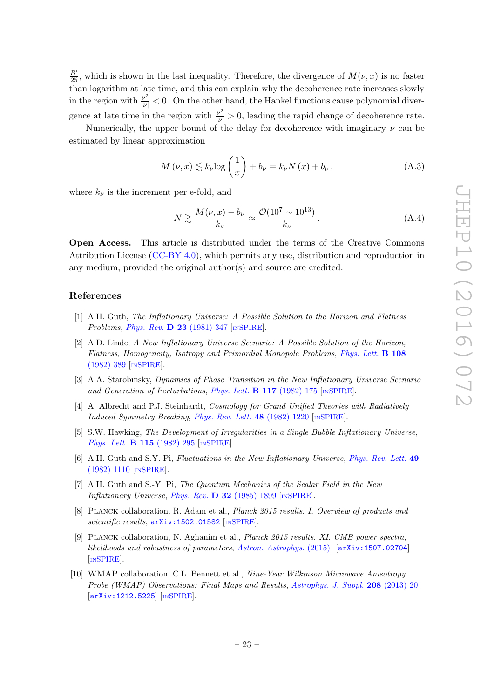$\frac{B'}{25}$ , which is shown in the last inequality. Therefore, the divergence of  $M(\nu, x)$  is no faster than logarithm at late time, and this can explain why the decoherence rate increases slowly in the region with  $\frac{\nu^2}{|\nu|} < 0$ . On the other hand, the Hankel functions cause polynomial divergence at late time in the region with  $\frac{\nu^2}{|\nu|} > 0$ , leading the rapid change of decoherence rate.

Numerically, the upper bound of the delay for decoherence with imaginary  $\nu$  can be estimated by linear approximation

$$
M(\nu, x) \lesssim k_{\nu} \log\left(\frac{1}{x}\right) + b_{\nu} = k_{\nu} N(x) + b_{\nu}, \tag{A.3}
$$

where  $k_{\nu}$  is the increment per e-fold, and

$$
N \gtrsim \frac{M(\nu, x) - b_{\nu}}{k_{\nu}} \approx \frac{\mathcal{O}(10^7 \sim 10^{13})}{k_{\nu}}.
$$
 (A.4)

Open Access. This article is distributed under the terms of the Creative Commons Attribution License [\(CC-BY 4.0\)](http://creativecommons.org/licenses/by/4.0/), which permits any use, distribution and reproduction in any medium, provided the original author(s) and source are credited.

#### References

- <span id="page-23-0"></span>[1] A.H. Guth, The Inflationary Universe: A Possible Solution to the Horizon and Flatness Problems, [Phys. Rev.](http://dx.doi.org/10.1103/PhysRevD.23.347) D 23 (1981) 347 [IN[SPIRE](http://inspirehep.net/search?p=find+J+%22Phys.Rev.,D23,347%22)].
- [2] A.D. Linde, A New Inflationary Universe Scenario: A Possible Solution of the Horizon, Flatness, Homogeneity, Isotropy and Primordial Monopole Problems, [Phys. Lett.](http://dx.doi.org/10.1016/0370-2693(82)91219-9) B 108 [\(1982\) 389](http://dx.doi.org/10.1016/0370-2693(82)91219-9) [IN[SPIRE](http://inspirehep.net/search?p=find+J+%22Phys.Lett.,B108,389%22)].
- [3] A.A. Starobinsky, Dynamics of Phase Transition in the New Inflationary Universe Scenario and Generation of Perturbations, [Phys. Lett.](http://dx.doi.org/10.1016/0370-2693(82)90541-X) **B 117** (1982) 175  $\text{[NSPIRE]}$  $\text{[NSPIRE]}$  $\text{[NSPIRE]}$ .
- [4] A. Albrecht and P.J. Steinhardt, Cosmology for Grand Unified Theories with Radiatively Induced Symmetry Breaking, [Phys. Rev. Lett.](http://dx.doi.org/10.1103/PhysRevLett.48.1220) 48 (1982) 1220 [IN[SPIRE](http://inspirehep.net/search?p=find+J+%22Phys.Rev.Lett.,48,1220%22)].
- [5] S.W. Hawking, The Development of Irregularities in a Single Bubble Inflationary Universe, [Phys. Lett.](http://dx.doi.org/10.1016/0370-2693(82)90373-2) **B 115** (1982) 295 [IN[SPIRE](http://inspirehep.net/search?p=find+J+%22Phys.Lett.,B115,295%22)].
- [6] A.H. Guth and S.Y. Pi, Fluctuations in the New Inflationary Universe, [Phys. Rev. Lett.](http://dx.doi.org/10.1103/PhysRevLett.49.1110) 49 [\(1982\) 1110](http://dx.doi.org/10.1103/PhysRevLett.49.1110) [IN[SPIRE](http://inspirehep.net/search?p=find+J+%22Phys.Rev.Lett.,49,1110%22)].
- <span id="page-23-1"></span>[7] A.H. Guth and S.-Y. Pi, The Quantum Mechanics of the Scalar Field in the New Inflationary Universe, Phys. Rev. D  $32$  [\(1985\) 1899](http://dx.doi.org/10.1103/PhysRevD.32.1899) [IN[SPIRE](http://inspirehep.net/search?p=find+J+%22Phys.Rev.,D32,1899%22)].
- <span id="page-23-2"></span>[8] Planck collaboration, R. Adam et al., Planck 2015 results. I. Overview of products and scientific results,  $arXiv:1502.01582$  [IN[SPIRE](http://inspirehep.net/search?p=find+EPRINT+arXiv:1502.01582)].
- [9] Planck collaboration, N. Aghanim et al., Planck 2015 results. XI. CMB power spectra, likelihoods and robustness of parameters, [Astron. Astrophys.](http://dx.doi.org/10.1051/0004-6361/201526926) (2015) [[arXiv:1507.02704](https://arxiv.org/abs/1507.02704)] [IN[SPIRE](http://inspirehep.net/search?p=find+EPRINT+arXiv:1507.02704)].
- <span id="page-23-3"></span>[10] WMAP collaboration, C.L. Bennett et al., Nine-Year Wilkinson Microwave Anisotropy Probe (WMAP) Observations: Final Maps and Results, [Astrophys. J. Suppl.](http://dx.doi.org/10.1088/0067-0049/208/2/20) 208 (2013) 20 [[arXiv:1212.5225](https://arxiv.org/abs/1212.5225)] [IN[SPIRE](http://inspirehep.net/search?p=find+J+%22Astrophys.J.Suppl.,208,20%22)].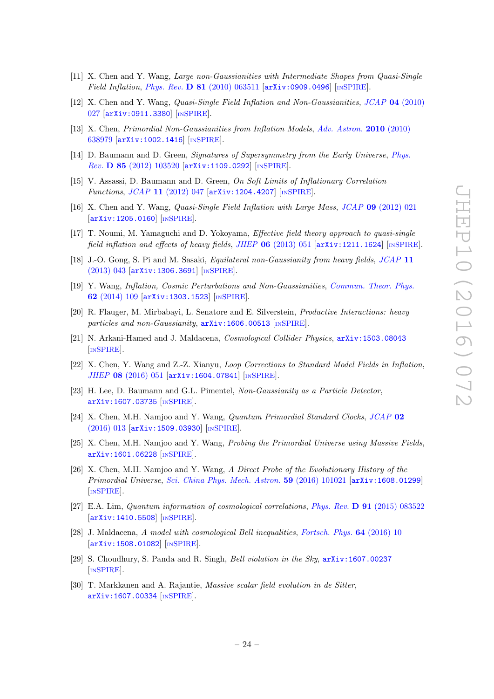- <span id="page-24-0"></span>[11] X. Chen and Y. Wang, Large non-Gaussianities with Intermediate Shapes from Quasi-Single Field Inflation, Phys. Rev.  $D 81$  [\(2010\) 063511](http://dx.doi.org/10.1103/PhysRevD.81.063511) [[arXiv:0909.0496](https://arxiv.org/abs/0909.0496)] [IN[SPIRE](http://inspirehep.net/search?p=find+J+%22Phys.Rev.,D81,063511%22)].
- [12] X. Chen and Y. Wang, Quasi-Single Field Inflation and Non-Gaussianities, JCAP 04 [\(2010\)](http://dx.doi.org/10.1088/1475-7516/2010/04/027) [027](http://dx.doi.org/10.1088/1475-7516/2010/04/027) [[arXiv:0911.3380](https://arxiv.org/abs/0911.3380)] [IN[SPIRE](http://inspirehep.net/search?p=find+J+%22JCAP,1004,027%22)].
- [13] X. Chen, Primordial Non-Gaussianities from Inflation Models, [Adv. Astron.](http://dx.doi.org/10.1155/2010/638979) 2010 (2010) [638979](http://dx.doi.org/10.1155/2010/638979) [[arXiv:1002.1416](https://arxiv.org/abs/1002.1416)] [IN[SPIRE](http://inspirehep.net/search?p=find+J+%22Adv.Astron.,2010,638979%22)].
- [14] D. Baumann and D. Green, Signatures of Supersymmetry from the Early Universe, [Phys.](http://dx.doi.org/10.1103/PhysRevD.85.103520) Rev. D 85 [\(2012\) 103520](http://dx.doi.org/10.1103/PhysRevD.85.103520) [[arXiv:1109.0292](https://arxiv.org/abs/1109.0292)] [IN[SPIRE](http://inspirehep.net/search?p=find+J+%22Phys.Rev.,D85,103520%22)].
- [15] V. Assassi, D. Baumann and D. Green, On Soft Limits of Inflationary Correlation Functions, JCAP 11 [\(2012\) 047](http://dx.doi.org/10.1088/1475-7516/2012/11/047) [[arXiv:1204.4207](https://arxiv.org/abs/1204.4207)] [IN[SPIRE](http://inspirehep.net/search?p=find+J+%22JCAP,1211,047%22)].
- [16] X. Chen and Y. Wang, Quasi-Single Field Inflation with Large Mass, JCAP 09 [\(2012\) 021](http://dx.doi.org/10.1088/1475-7516/2012/09/021) [[arXiv:1205.0160](https://arxiv.org/abs/1205.0160)] [IN[SPIRE](http://inspirehep.net/search?p=find+J+%22JCAP,1209,021%22)].
- [17] T. Noumi, M. Yamaguchi and D. Yokoyama, Effective field theory approach to quasi-single field inflation and effects of heavy fields, JHEP  $06$  [\(2013\) 051](http://dx.doi.org/10.1007/JHEP06(2013)051) [[arXiv:1211.1624](https://arxiv.org/abs/1211.1624)] [IN[SPIRE](http://inspirehep.net/search?p=find+J+%22JHEP,1306,051%22)].
- [18] J.-O. Gong, S. Pi and M. Sasaki, Equilateral non-Gaussianity from heavy fields, [JCAP](http://dx.doi.org/10.1088/1475-7516/2013/11/043) 11 [\(2013\) 043](http://dx.doi.org/10.1088/1475-7516/2013/11/043) [[arXiv:1306.3691](https://arxiv.org/abs/1306.3691)] [IN[SPIRE](http://inspirehep.net/search?p=find+J+%22JCAP,1311,043%22)].
- <span id="page-24-1"></span>[19] Y. Wang, Inflation, Cosmic Perturbations and Non-Gaussianities, [Commun. Theor. Phys.](http://dx.doi.org/10.1088/0253-6102/62/1/19) 62 [\(2014\) 109](http://dx.doi.org/10.1088/0253-6102/62/1/19) [[arXiv:1303.1523](https://arxiv.org/abs/1303.1523)] [IN[SPIRE](http://inspirehep.net/search?p=find+J+%22Commun.Theor.Phys.,62,109%22)].
- <span id="page-24-2"></span>[20] R. Flauger, M. Mirbabayi, L. Senatore and E. Silverstein, Productive Interactions: heavy particles and non-Gaussianity,  $arXiv:1606.00513$  [IN[SPIRE](http://inspirehep.net/search?p=find+EPRINT+arXiv:1606.00513)].
- <span id="page-24-3"></span>[21] N. Arkani-Hamed and J. Maldacena, *Cosmological Collider Physics*,  $arXiv:1503.08043$ [IN[SPIRE](http://inspirehep.net/search?p=find+EPRINT+arXiv:1503.08043)].
- [22] X. Chen, Y. Wang and Z.-Z. Xianyu, Loop Corrections to Standard Model Fields in Inflation, JHEP 08 [\(2016\) 051](http://dx.doi.org/10.1007/JHEP08(2016)051) [[arXiv:1604.07841](https://arxiv.org/abs/1604.07841)] [IN[SPIRE](http://inspirehep.net/search?p=find+J+%22JHEP,1608,051%22)].
- <span id="page-24-4"></span>[23] H. Lee, D. Baumann and G.L. Pimentel, Non-Gaussianity as a Particle Detector, [arXiv:1607.03735](https://arxiv.org/abs/1607.03735) [IN[SPIRE](http://inspirehep.net/search?p=find+EPRINT+arXiv:1607.03735)].
- <span id="page-24-5"></span>[24] X. Chen, M.H. Namjoo and Y. Wang, Quantum Primordial Standard Clocks, [JCAP](http://dx.doi.org/10.1088/1475-7516/2016/02/013) 02 [\(2016\) 013](http://dx.doi.org/10.1088/1475-7516/2016/02/013) [[arXiv:1509.03930](https://arxiv.org/abs/1509.03930)] [IN[SPIRE](http://inspirehep.net/search?p=find+J+%22JCAP,1602,013%22)].
- [25] X. Chen, M.H. Namjoo and Y. Wang, Probing the Primordial Universe using Massive Fields, [arXiv:1601.06228](https://arxiv.org/abs/1601.06228) [IN[SPIRE](http://inspirehep.net/search?p=find+EPRINT+arXiv:1601.06228)].
- <span id="page-24-6"></span>[26] X. Chen, M.H. Namjoo and Y. Wang, A Direct Probe of the Evolutionary History of the Primordial Universe, [Sci. China Phys. Mech. Astron.](http://dx.doi.org/10.1007/s11433-016-0278-8) 59 (2016) 101021 [[arXiv:1608.01299](https://arxiv.org/abs/1608.01299)] [IN[SPIRE](http://inspirehep.net/search?p=find+EPRINT+arXiv:1608.01299)].
- <span id="page-24-7"></span>[27] E.A. Lim, Quantum information of cosmological correlations, Phys. Rev. D 91 [\(2015\) 083522](http://dx.doi.org/10.1103/PhysRevD.91.083522) [[arXiv:1410.5508](https://arxiv.org/abs/1410.5508)] [IN[SPIRE](http://inspirehep.net/search?p=find+J+%22Phys.Rev.,D91,083522%22)].
- [28] J. Maldacena, A model with cosmological Bell inequalities, [Fortsch. Phys.](http://dx.doi.org/10.1002/prop.201500097) 64 (2016) 10 [[arXiv:1508.01082](https://arxiv.org/abs/1508.01082)] [IN[SPIRE](http://inspirehep.net/search?p=find+J+%22Fortsch.Phys.,64,10%22)].
- [29] S. Choudhury, S. Panda and R. Singh, Bell violation in the Sky, [arXiv:1607.00237](https://arxiv.org/abs/1607.00237) [IN[SPIRE](http://inspirehep.net/search?p=find+EPRINT+arXiv:1607.00237)].
- [30] T. Markkanen and A. Rajantie, Massive scalar field evolution in de Sitter, [arXiv:1607.00334](https://arxiv.org/abs/1607.00334) [IN[SPIRE](http://inspirehep.net/search?p=find+EPRINT+arXiv:1607.00334)].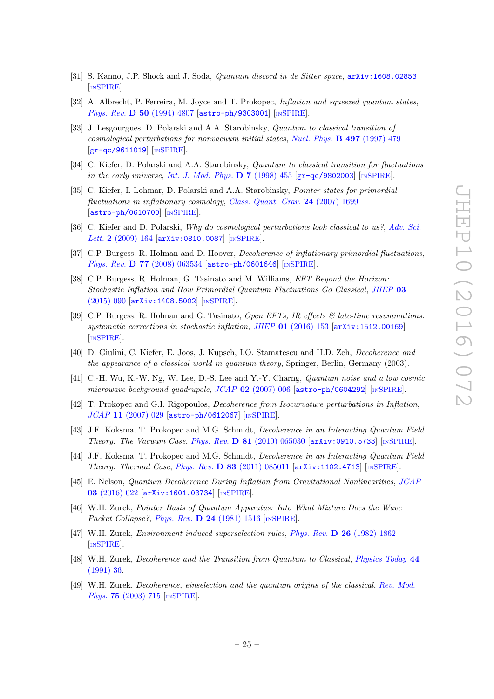- <span id="page-25-0"></span>[31] S. Kanno, J.P. Shock and J. Soda, *Quantum discord in de Sitter space*,  $arXiv:1608.02853$ [IN[SPIRE](http://inspirehep.net/search?p=find+EPRINT+arXiv:1608.02853)].
- <span id="page-25-1"></span>[32] A. Albrecht, P. Ferreira, M. Joyce and T. Prokopec, *Inflation and squeezed quantum states*, Phys. Rev. D 50 [\(1994\) 4807](http://dx.doi.org/10.1103/PhysRevD.50.4807) [[astro-ph/9303001](https://arxiv.org/abs/astro-ph/9303001)] [IN[SPIRE](http://inspirehep.net/search?p=find+J+%22Phys.Rev.,D50,4807%22)].
- <span id="page-25-13"></span>[33] J. Lesgourgues, D. Polarski and A.A. Starobinsky, Quantum to classical transition of cosmological perturbations for nonvacuum initial states, [Nucl. Phys.](http://dx.doi.org/10.1016/S0550-3213(97)00224-1) B 497 (1997) 479 [[gr-qc/9611019](https://arxiv.org/abs/gr-qc/9611019)] [IN[SPIRE](http://inspirehep.net/search?p=find+J+%22Nucl.Phys.,B497,479%22)].
- <span id="page-25-2"></span>[34] C. Kiefer, D. Polarski and A.A. Starobinsky, Quantum to classical transition for fluctuations in the early universe, [Int. J. Mod. Phys.](http://dx.doi.org/10.1142/S0218271898000292)  $D 7 (1998) 455 [gr-qc/9802003]$  $D 7 (1998) 455 [gr-qc/9802003]$  $D 7 (1998) 455 [gr-qc/9802003]$  [IN[SPIRE](http://inspirehep.net/search?p=find+J+%22Int.J.Mod.Phys.,D7,455%22)].
- <span id="page-25-3"></span>[35] C. Kiefer, I. Lohmar, D. Polarski and A.A. Starobinsky, Pointer states for primordial fluctuations in inflationary cosmology, [Class. Quant. Grav.](http://dx.doi.org/10.1088/0264-9381/24/7/002) 24 (2007) 1699 [[astro-ph/0610700](https://arxiv.org/abs/astro-ph/0610700)] [IN[SPIRE](http://inspirehep.net/search?p=find+J+%22Class.Quant.Grav.,24,1699%22)].
- <span id="page-25-14"></span>[36] C. Kiefer and D. Polarski, Why do cosmological perturbations look classical to us?, [Adv. Sci.](http://dx.doi.org/10.1166/asl.2009.1023) Lett. 2 [\(2009\) 164](http://dx.doi.org/10.1166/asl.2009.1023) [[arXiv:0810.0087](https://arxiv.org/abs/0810.0087)] [IN[SPIRE](http://inspirehep.net/search?p=find+EPRINT+arXiv:0810.0087)].
- [37] C.P. Burgess, R. Holman and D. Hoover, Decoherence of inflationary primordial fluctuations, Phys. Rev. **D 77** [\(2008\) 063534](http://dx.doi.org/10.1103/PhysRevD.77.063534) [[astro-ph/0601646](https://arxiv.org/abs/astro-ph/0601646)] [IN[SPIRE](http://inspirehep.net/search?p=find+J+%22Phys.Rev.,D77,063534%22)].
- <span id="page-25-6"></span>[38] C.P. Burgess, R. Holman, G. Tasinato and M. Williams, *EFT Beyond the Horizon:* Stochastic Inflation and How Primordial Quantum Fluctuations Go Classical, [JHEP](http://dx.doi.org/10.1007/JHEP03(2015)090) 03 [\(2015\) 090](http://dx.doi.org/10.1007/JHEP03(2015)090) [[arXiv:1408.5002](https://arxiv.org/abs/1408.5002)] [IN[SPIRE](http://inspirehep.net/search?p=find+J+%22JHEP,1503,090%22)].
- <span id="page-25-4"></span>[39] C.P. Burgess, R. Holman and G. Tasinato, Open EFTs, IR effects  $\mathcal{C}$  late-time resummations: systematic corrections in stochastic inflation, JHEP 01 [\(2016\) 153](http://dx.doi.org/10.1007/JHEP01(2016)153) [[arXiv:1512.00169](https://arxiv.org/abs/1512.00169)] [IN[SPIRE](http://inspirehep.net/search?p=find+J+%22JHEP,1601,153%22)].
- <span id="page-25-5"></span>[40] D. Giulini, C. Kiefer, E. Joos, J. Kupsch, I.O. Stamatescu and H.D. Zeh, Decoherence and the appearance of a classical world in quantum theory, Springer, Berlin, Germany (2003).
- <span id="page-25-7"></span>[41] C.-H. Wu, K.-W. Ng, W. Lee, D.-S. Lee and Y.-Y. Charng, Quantum noise and a low cosmic microwave background quadrupole,  $JCAP$  02 [\(2007\) 006](http://dx.doi.org/10.1088/1475-7516/2007/02/006) [[astro-ph/0604292](https://arxiv.org/abs/astro-ph/0604292)] [IN[SPIRE](http://inspirehep.net/search?p=find+J+%22JCAP,0702,006%22)].
- <span id="page-25-8"></span>[42] T. Prokopec and G.I. Rigopoulos, Decoherence from Isocurvature perturbations in Inflation, JCAP 11 [\(2007\) 029](http://dx.doi.org/10.1088/1475-7516/2007/11/029) [[astro-ph/0612067](https://arxiv.org/abs/astro-ph/0612067)] [IN[SPIRE](http://inspirehep.net/search?p=find+J+%22JCAP,0711,029%22)].
- <span id="page-25-9"></span>[43] J.F. Koksma, T. Prokopec and M.G. Schmidt, Decoherence in an Interacting Quantum Field Theory: The Vacuum Case, Phys. Rev. D 81 [\(2010\) 065030](http://dx.doi.org/10.1103/PhysRevD.81.065030) [[arXiv:0910.5733](https://arxiv.org/abs/0910.5733)] [IN[SPIRE](http://inspirehep.net/search?p=find+J+%22Phys.Rev.,D81,065030%22)].
- <span id="page-25-10"></span>[44] J.F. Koksma, T. Prokopec and M.G. Schmidt, Decoherence in an Interacting Quantum Field Theory: Thermal Case, Phys. Rev. D 83 [\(2011\) 085011](http://dx.doi.org/10.1103/PhysRevD.83.085011) [[arXiv:1102.4713](https://arxiv.org/abs/1102.4713)] [IN[SPIRE](http://inspirehep.net/search?p=find+J+%22Phys.Rev.,D83,085011%22)].
- <span id="page-25-11"></span>[45] E. Nelson, Quantum Decoherence During Inflation from Gravitational Nonlinearities, [JCAP](http://dx.doi.org/10.1088/1475-7516/2016/03/022) 03 [\(2016\) 022](http://dx.doi.org/10.1088/1475-7516/2016/03/022) [[arXiv:1601.03734](https://arxiv.org/abs/1601.03734)] [IN[SPIRE](http://inspirehep.net/search?p=find+J+%22JCAP,1603,022%22)].
- <span id="page-25-12"></span>[46] W.H. Zurek, Pointer Basis of Quantum Apparatus: Into What Mixture Does the Wave Packet Collapse?, Phys. Rev. D 24 [\(1981\) 1516](http://dx.doi.org/10.1103/PhysRevD.24.1516) [IN[SPIRE](http://inspirehep.net/search?p=find+J+%22Phys.Rev.,D24,1516%22)].
- <span id="page-25-15"></span>[47] W.H. Zurek, Environment induced superselection rules, Phys. Rev. D 26 [\(1982\) 1862](http://dx.doi.org/10.1103/PhysRevD.26.1862) [IN[SPIRE](http://inspirehep.net/search?p=find+J+%22Phys.Rev.,D26,1862%22)].
- [48] W.H. Zurek, Decoherence and the Transition from Quantum to Classical, [Physics Today](http://dx.doi.org/10.1063/1.881293) 44 [\(1991\) 36.](http://dx.doi.org/10.1063/1.881293)
- <span id="page-25-16"></span>[49] W.H. Zurek, Decoherence, einselection and the quantum origins of the classical, [Rev. Mod.](http://dx.doi.org/10.1103/RevModPhys.75.715) Phys. 75 [\(2003\) 715](http://dx.doi.org/10.1103/RevModPhys.75.715) [IN[SPIRE](http://inspirehep.net/search?p=find+J+%22Rev.Mod.Phys.,75,715%22)].